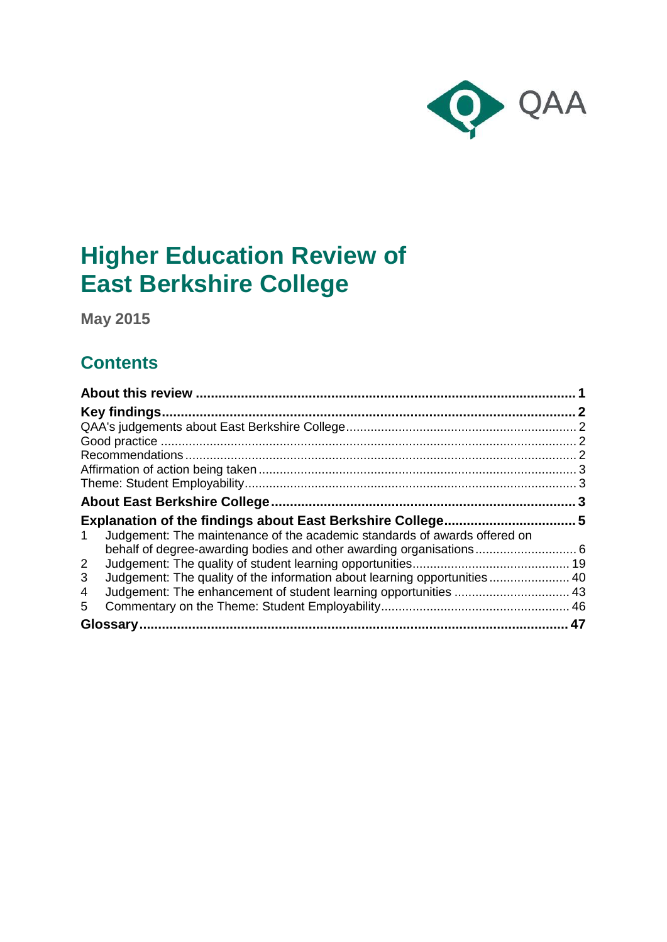

# **Higher Education Review of East Berkshire College**

**May 2015**

## **Contents**

| Judgement: The maintenance of the academic standards of awards offered on<br>1  |  |
|---------------------------------------------------------------------------------|--|
| behalf of degree-awarding bodies and other awarding organisations 6             |  |
| $\overline{2}$                                                                  |  |
| Judgement: The quality of the information about learning opportunities  40<br>3 |  |
| 4                                                                               |  |
| 5                                                                               |  |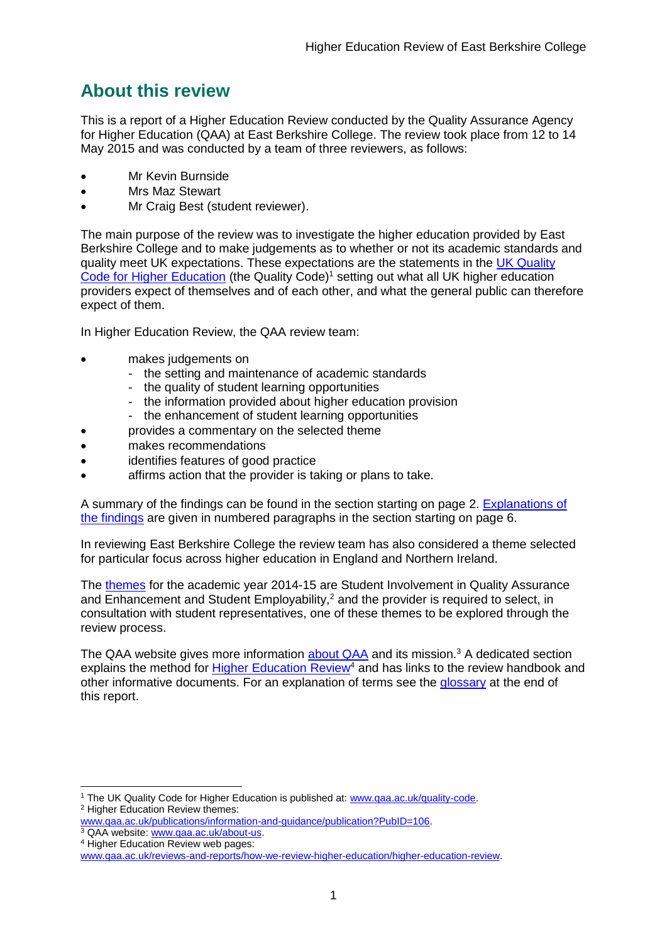## <span id="page-1-0"></span>**About this review**

This is a report of a Higher Education Review conducted by the Quality Assurance Agency for Higher Education (QAA) at East Berkshire College. The review took place from 12 to 14 May 2015 and was conducted by a team of three reviewers, as follows:

- Mr Kevin Burnside
- Mrs Maz Stewart
- Mr Craig Best (student reviewer).

The main purpose of the review was to investigate the higher education provided by East Berkshire College and to make judgements as to whether or not its academic standards and quality meet UK expectations. These expectations are the statements in the [UK Quality](http://www.qaa.ac.uk/assuring-standards-and-quality/the-quality-code)  [Code for Higher Education](http://www.qaa.ac.uk/assuring-standards-and-quality/the-quality-code) (the Quality Code)<sup>1</sup> setting out what all UK higher education [providers](http://newlive.qaa.ac.uk/AboutUs/glossary/Pages/glossary-h.aspx#h2.1) expect of themselves and of each other, and what the general public can therefore expect of them.

In Higher Education Review, the QAA review team:

- makes judgements on
	- the setting and maintenance of academic standards
	- the quality of student learning opportunities
	- the information provided about higher education provision
	- the enhancement of student learning opportunities
	- provides a commentary on the selected theme
- makes recommendations
- identifies features of good practice
- affirms action that the provider is taking or plans to take.

A summary of the findings can be found in the section starting on page 2. [Explanations of](#page-5-0)  [the findings](#page-5-0) are given in numbered paragraphs in the section starting on page 6.

In reviewing East Berkshire College the review team has also considered a theme selected for particular focus across higher education in England and Northern Ireland.

The [themes](http://www.qaa.ac.uk/publications/information-and-guidance/publication?PubID=106) for the academic year 2014-15 are Student Involvement in Quality Assurance and  $\overline{\text{E}}$ nhancement and Student Employability,<sup>2</sup> and the provider is required to select, in consultation with student representatives, one of these themes to be explored through the review process.

The QAA website gives more information [about QAA](http://www.qaa.ac.uk/aboutus/pages/default.aspx) and its mission.<sup>3</sup> A dedicated section explains the method for [Higher Education](http://www.qaa.ac.uk/reviews-and-reports/how-we-review-higher-education/higher-education-review) Review<sup>4</sup> and has links to the review handbook and other informative documents. For an explanation of terms see the [glossary](#page-46-1) at the end of this report.

<sup>-</sup><sup>1</sup> The UK Quality Code for Higher Education is published at: [www.qaa.ac.uk/quality-code.](http://www.qaa.ac.uk/assuring-standards-and-quality/the-quality-code) <sup>2</sup> Higher Education Review themes:

[www.qaa.ac.uk/publications/information-and-guidance/publication?PubID=106.](http://www.qaa.ac.uk/publications/information-and-guidance/publication?PubID=106)

<sup>&</sup>lt;sup>3</sup> QAA website: [www.qaa.ac.uk/about-us.](http://www.qaa.ac.uk/about-us) <sup>4</sup> Higher Education Review web pages:

[www.qaa.ac.uk/reviews-and-reports/how-we-review-higher-education/higher-education-review.](http://www.qaa.ac.uk/reviews-and-reports/how-we-review-higher-education/higher-education-review)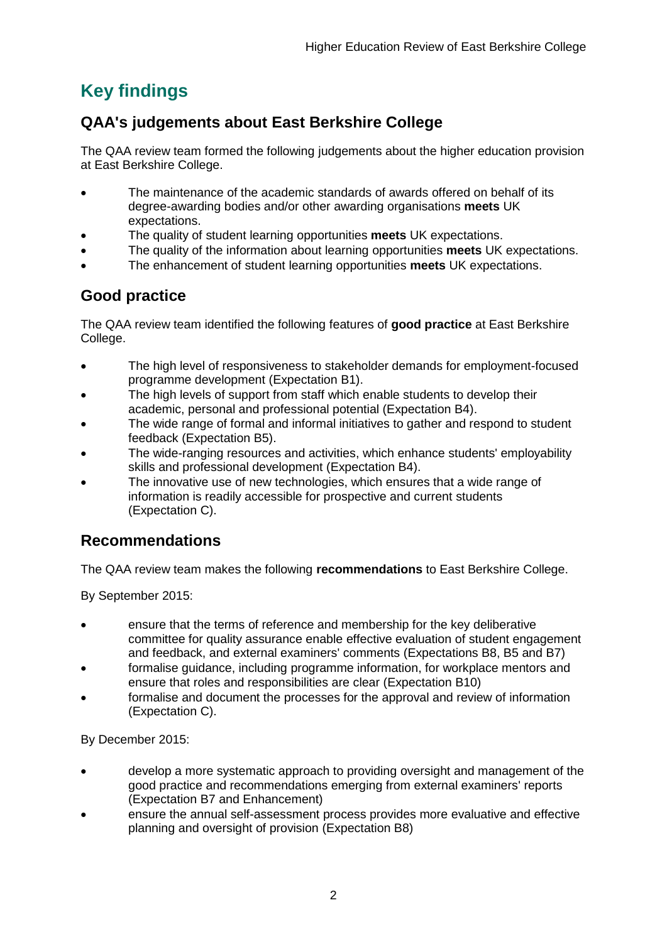## <span id="page-2-0"></span>**Key findings**

## <span id="page-2-1"></span>**QAA's judgements about East Berkshire College**

The QAA review team formed the following judgements about the higher education provision at East Berkshire College.

- The maintenance of the academic standards of awards offered on behalf of its degree-awarding bodies and/or other awarding organisations **meets** UK expectations.
- The quality of student learning opportunities **meets** UK expectations.
- The quality of the information about learning opportunities **meets** UK expectations.
- The enhancement of student learning opportunities **meets** UK expectations.

## <span id="page-2-2"></span>**Good practice**

The QAA review team identified the following features of **good practice** at East Berkshire College.

- The high level of responsiveness to stakeholder demands for employment-focused programme development (Expectation B1).
- The high levels of support from staff which enable students to develop their academic, personal and professional potential (Expectation B4).
- The wide range of formal and informal initiatives to gather and respond to student feedback (Expectation B5).
- The wide-ranging resources and activities, which enhance students' employability skills and professional development (Expectation B4).
- The innovative use of new technologies, which ensures that a wide range of information is readily accessible for prospective and current students (Expectation C).

## <span id="page-2-3"></span>**Recommendations**

The QAA review team makes the following **recommendations** to East Berkshire College.

By September 2015:

- ensure that the terms of reference and membership for the key deliberative committee for quality assurance enable effective evaluation of student engagement and feedback, and external examiners' comments (Expectations B8, B5 and B7)
- formalise guidance, including programme information, for workplace mentors and ensure that roles and responsibilities are clear (Expectation B10)
- formalise and document the processes for the approval and review of information (Expectation C).

By December 2015:

- develop a more systematic approach to providing oversight and management of the good practice and recommendations emerging from external examiners' reports (Expectation B7 and Enhancement)
- ensure the annual self-assessment process provides more evaluative and effective planning and oversight of provision (Expectation B8)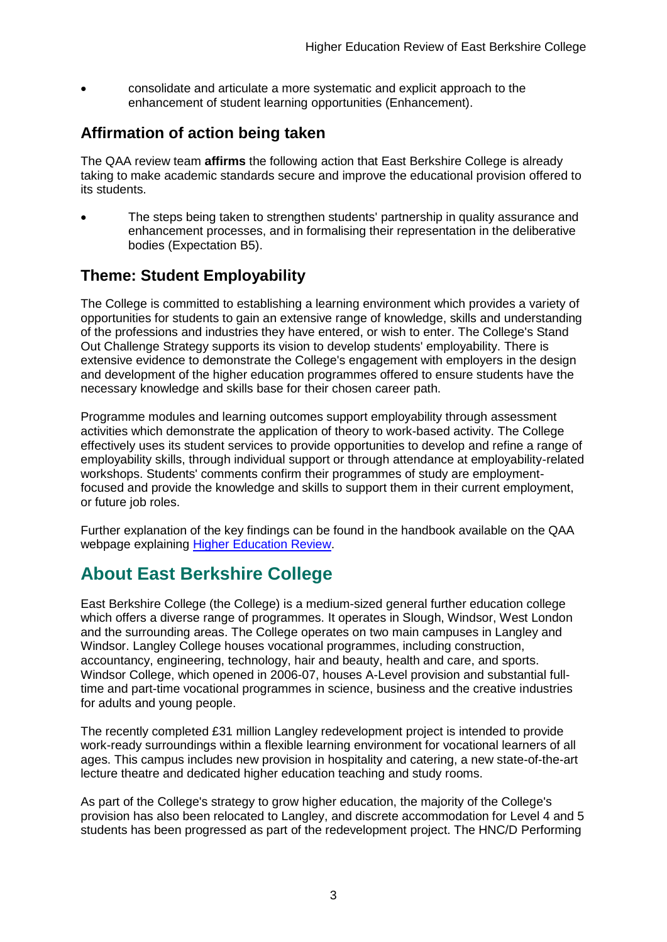consolidate and articulate a more systematic and explicit approach to the enhancement of student learning opportunities (Enhancement).

## <span id="page-3-0"></span>**Affirmation of action being taken**

The QAA review team **affirms** the following action that East Berkshire College is already taking to make academic standards secure and improve the educational provision offered to its students.

 The steps being taken to strengthen students' partnership in quality assurance and enhancement processes, and in formalising their representation in the deliberative bodies (Expectation B5).

## <span id="page-3-1"></span>**Theme: Student Employability**

The College is committed to establishing a learning environment which provides a variety of opportunities for students to gain an extensive range of knowledge, skills and understanding of the professions and industries they have entered, or wish to enter. The College's Stand Out Challenge Strategy supports its vision to develop students' employability. There is extensive evidence to demonstrate the College's engagement with employers in the design and development of the higher education programmes offered to ensure students have the necessary knowledge and skills base for their chosen career path.

Programme modules and learning outcomes support employability through assessment activities which demonstrate the application of theory to work-based activity. The College effectively uses its student services to provide opportunities to develop and refine a range of employability skills, through individual support or through attendance at employability-related workshops. Students' comments confirm their programmes of study are employmentfocused and provide the knowledge and skills to support them in their current employment, or future job roles.

Further explanation of the key findings can be found in the handbook available on the QAA webpage explaining [Higher Education Review.](http://www.qaa.ac.uk/reviews-and-reports/how-we-review-higher-education/higher-education-review)

## <span id="page-3-2"></span>**About East Berkshire College**

East Berkshire College (the College) is a medium-sized general further education college which offers a diverse range of programmes. It operates in Slough, Windsor, West London and the surrounding areas. The College operates on two main campuses in Langley and Windsor. Langley College houses vocational programmes, including construction, accountancy, engineering, technology, hair and beauty, health and care, and sports. Windsor College, which opened in 2006-07, houses A-Level provision and substantial fulltime and part-time vocational programmes in science, business and the creative industries for adults and young people.

The recently completed £31 million Langley redevelopment project is intended to provide work-ready surroundings within a flexible learning environment for vocational learners of all ages. This campus includes new provision in hospitality and catering, a new state-of-the-art lecture theatre and dedicated higher education teaching and study rooms.

As part of the College's strategy to grow higher education, the majority of the College's provision has also been relocated to Langley, and discrete accommodation for Level 4 and 5 students has been progressed as part of the redevelopment project. The HNC/D Performing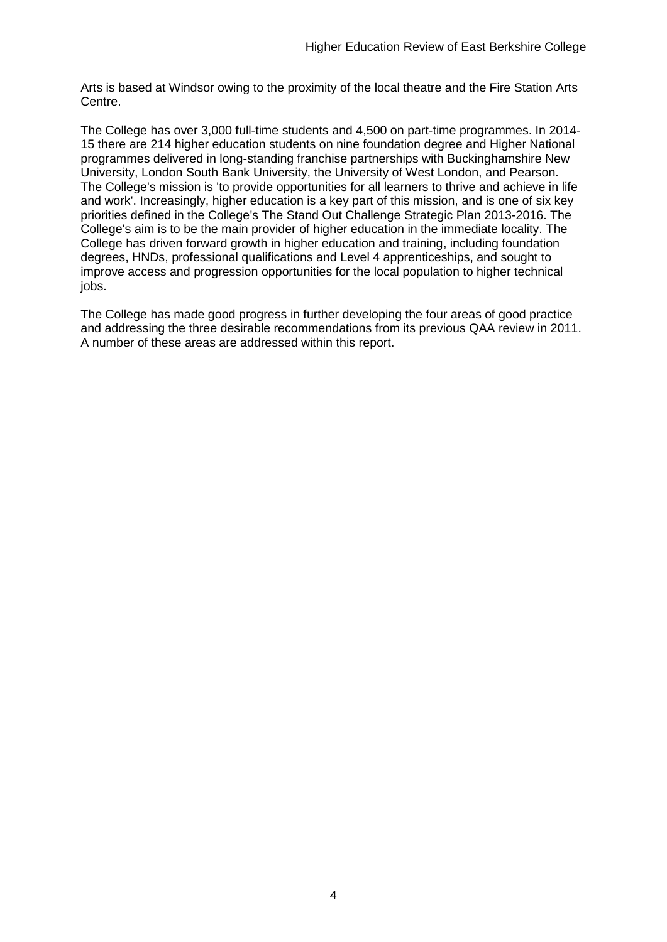Arts is based at Windsor owing to the proximity of the local theatre and the Fire Station Arts Centre.

The College has over 3,000 full-time students and 4,500 on part-time programmes. In 2014- 15 there are 214 higher education students on nine foundation degree and Higher National programmes delivered in long-standing franchise partnerships with Buckinghamshire New University, London South Bank University, the University of West London, and Pearson. The College's mission is 'to provide opportunities for all learners to thrive and achieve in life and work'. Increasingly, higher education is a key part of this mission, and is one of six key priorities defined in the College's The Stand Out Challenge Strategic Plan 2013-2016. The College's aim is to be the main provider of higher education in the immediate locality. The College has driven forward growth in higher education and training, including foundation degrees, HNDs, professional qualifications and Level 4 apprenticeships, and sought to improve access and progression opportunities for the local population to higher technical jobs.

The College has made good progress in further developing the four areas of good practice and addressing the three desirable recommendations from its previous QAA review in 2011. A number of these areas are addressed within this report.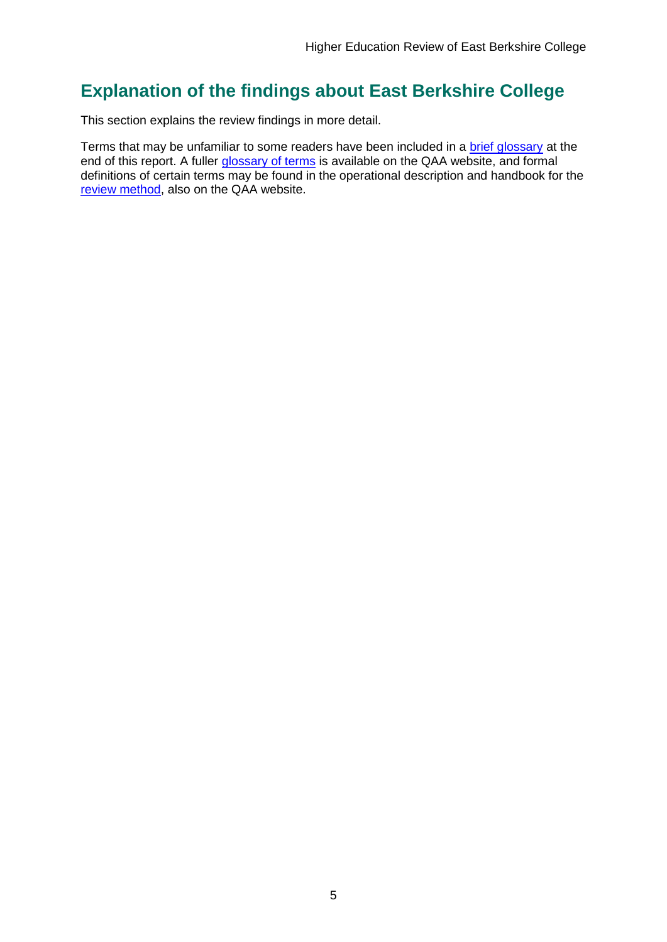## <span id="page-5-0"></span>**Explanation of the findings about East Berkshire College**

This section explains the review findings in more detail.

Terms that may be unfamiliar to some readers have been included in a [brief glossary](#page-46-1) at the end of this report. A fuller [glossary of terms](http://www.qaa.ac.uk/Pages/GlossaryEN.aspx) is available on the QAA website, and formal definitions of certain terms may be found in the operational description and handbook for the [review method,](http://www.qaa.ac.uk/reviews-and-reports/how-we-review-higher-education/higher-education-review) also on the QAA website.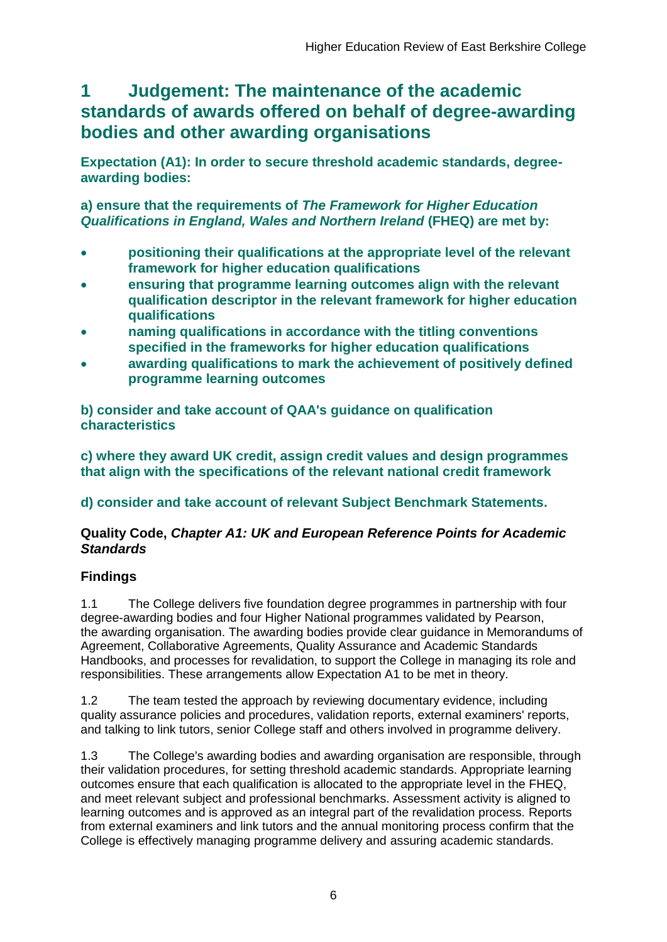## <span id="page-6-0"></span>**1 Judgement: The maintenance of the academic standards of awards offered on behalf of degree-awarding bodies and other awarding organisations**

**Expectation (A1): In order to secure threshold academic standards, degreeawarding bodies:** 

**a) ensure that the requirements of** *The Framework for Higher Education Qualifications in England, Wales and Northern Ireland* **(FHEQ) are met by:**

- **positioning their qualifications at the appropriate level of the relevant framework for higher education qualifications**
- **ensuring that programme learning outcomes align with the relevant qualification descriptor in the relevant framework for higher education qualifications**
- **naming qualifications in accordance with the titling conventions specified in the frameworks for higher education qualifications**
- **awarding qualifications to mark the achievement of positively defined programme learning outcomes**

**b) consider and take account of QAA's guidance on qualification characteristics** 

**c) where they award UK credit, assign credit values and design programmes that align with the specifications of the relevant national credit framework** 

**d) consider and take account of relevant Subject Benchmark Statements.**

## **Quality Code,** *Chapter A1: UK and European Reference Points for Academic Standards*

## **Findings**

1.1 The College delivers five foundation degree programmes in partnership with four degree-awarding bodies and four Higher National programmes validated by Pearson, the awarding organisation. The awarding bodies provide clear guidance in Memorandums of Agreement, Collaborative Agreements, Quality Assurance and Academic Standards Handbooks, and processes for revalidation, to support the College in managing its role and responsibilities. These arrangements allow Expectation A1 to be met in theory.

1.2 The team tested the approach by reviewing documentary evidence, including quality assurance policies and procedures, validation reports, external examiners' reports, and talking to link tutors, senior College staff and others involved in programme delivery.

1.3 The College's awarding bodies and awarding organisation are responsible, through their validation procedures, for setting threshold academic standards. Appropriate learning outcomes ensure that each qualification is allocated to the appropriate level in the FHEQ, and meet relevant subject and professional benchmarks. Assessment activity is aligned to learning outcomes and is approved as an integral part of the revalidation process. Reports from external examiners and link tutors and the annual monitoring process confirm that the College is effectively managing programme delivery and assuring academic standards.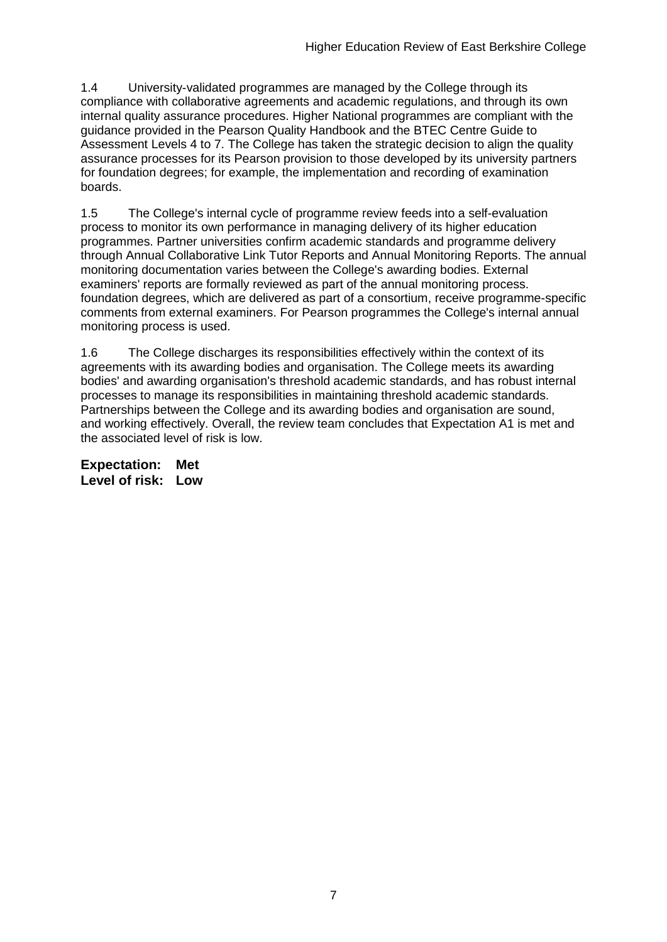1.4 University-validated programmes are managed by the College through its compliance with collaborative agreements and academic regulations, and through its own internal quality assurance procedures. Higher National programmes are compliant with the guidance provided in the Pearson Quality Handbook and the BTEC Centre Guide to Assessment Levels 4 to 7. The College has taken the strategic decision to align the quality assurance processes for its Pearson provision to those developed by its university partners for foundation degrees; for example, the implementation and recording of examination boards.

1.5 The College's internal cycle of programme review feeds into a self-evaluation process to monitor its own performance in managing delivery of its higher education programmes. Partner universities confirm academic standards and programme delivery through Annual Collaborative Link Tutor Reports and Annual Monitoring Reports. The annual monitoring documentation varies between the College's awarding bodies. External examiners' reports are formally reviewed as part of the annual monitoring process. foundation degrees, which are delivered as part of a consortium, receive programme-specific comments from external examiners. For Pearson programmes the College's internal annual monitoring process is used.

1.6 The College discharges its responsibilities effectively within the context of its agreements with its awarding bodies and organisation. The College meets its awarding bodies' and awarding organisation's threshold academic standards, and has robust internal processes to manage its responsibilities in maintaining threshold academic standards. Partnerships between the College and its awarding bodies and organisation are sound, and working effectively. Overall, the review team concludes that Expectation A1 is met and the associated level of risk is low.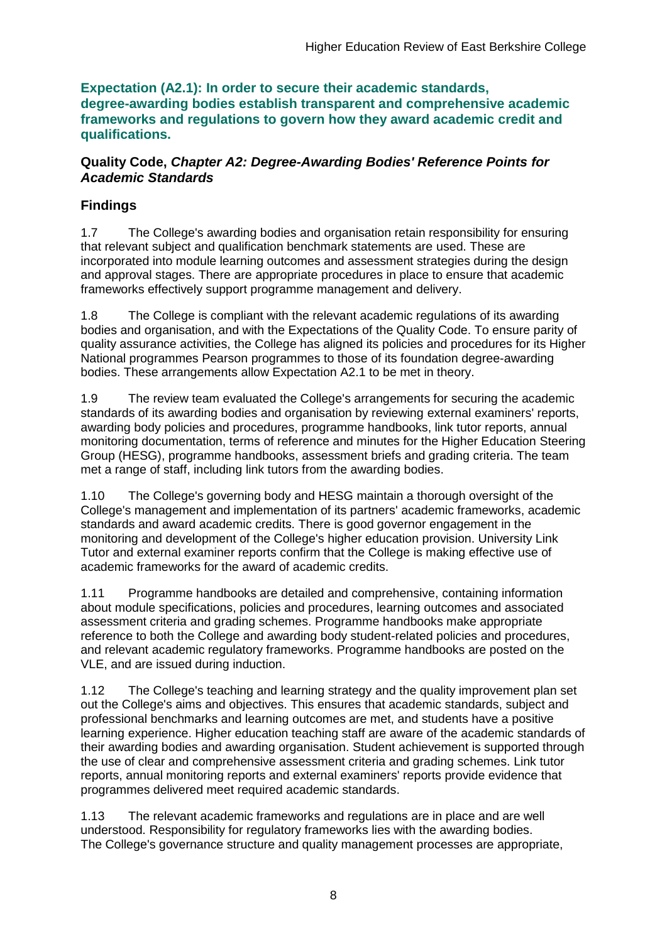**Expectation (A2.1): In order to secure their academic standards, degree-awarding bodies establish transparent and comprehensive academic frameworks and regulations to govern how they award academic credit and qualifications.**

### **Quality Code,** *Chapter A2: Degree-Awarding Bodies' Reference Points for Academic Standards*

## **Findings**

1.7 The College's awarding bodies and organisation retain responsibility for ensuring that relevant subject and qualification benchmark statements are used. These are incorporated into module learning outcomes and assessment strategies during the design and approval stages. There are appropriate procedures in place to ensure that academic frameworks effectively support programme management and delivery.

1.8 The College is compliant with the relevant academic regulations of its awarding bodies and organisation, and with the Expectations of the Quality Code. To ensure parity of quality assurance activities, the College has aligned its policies and procedures for its Higher National programmes Pearson programmes to those of its foundation degree-awarding bodies. These arrangements allow Expectation A2.1 to be met in theory.

1.9 The review team evaluated the College's arrangements for securing the academic standards of its awarding bodies and organisation by reviewing external examiners' reports, awarding body policies and procedures, programme handbooks, link tutor reports, annual monitoring documentation, terms of reference and minutes for the Higher Education Steering Group (HESG), programme handbooks, assessment briefs and grading criteria. The team met a range of staff, including link tutors from the awarding bodies.

1.10 The College's governing body and HESG maintain a thorough oversight of the College's management and implementation of its partners' academic frameworks, academic standards and award academic credits. There is good governor engagement in the monitoring and development of the College's higher education provision. University Link Tutor and external examiner reports confirm that the College is making effective use of academic frameworks for the award of academic credits.

1.11 Programme handbooks are detailed and comprehensive, containing information about module specifications, policies and procedures, learning outcomes and associated assessment criteria and grading schemes. Programme handbooks make appropriate reference to both the College and awarding body student-related policies and procedures, and relevant academic regulatory frameworks. Programme handbooks are posted on the VLE, and are issued during induction.

1.12 The College's teaching and learning strategy and the quality improvement plan set out the College's aims and objectives. This ensures that academic standards, subject and professional benchmarks and learning outcomes are met, and students have a positive learning experience. Higher education teaching staff are aware of the academic standards of their awarding bodies and awarding organisation. Student achievement is supported through the use of clear and comprehensive assessment criteria and grading schemes. Link tutor reports, annual monitoring reports and external examiners' reports provide evidence that programmes delivered meet required academic standards.

1.13 The relevant academic frameworks and regulations are in place and are well understood. Responsibility for regulatory frameworks lies with the awarding bodies. The College's governance structure and quality management processes are appropriate,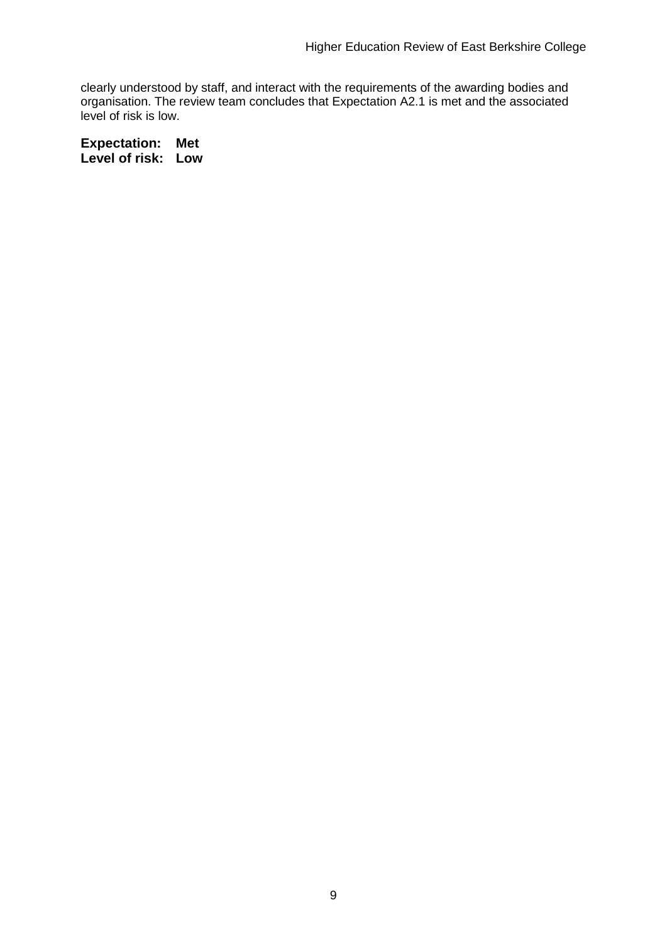clearly understood by staff, and interact with the requirements of the awarding bodies and organisation. The review team concludes that Expectation A2.1 is met and the associated level of risk is low.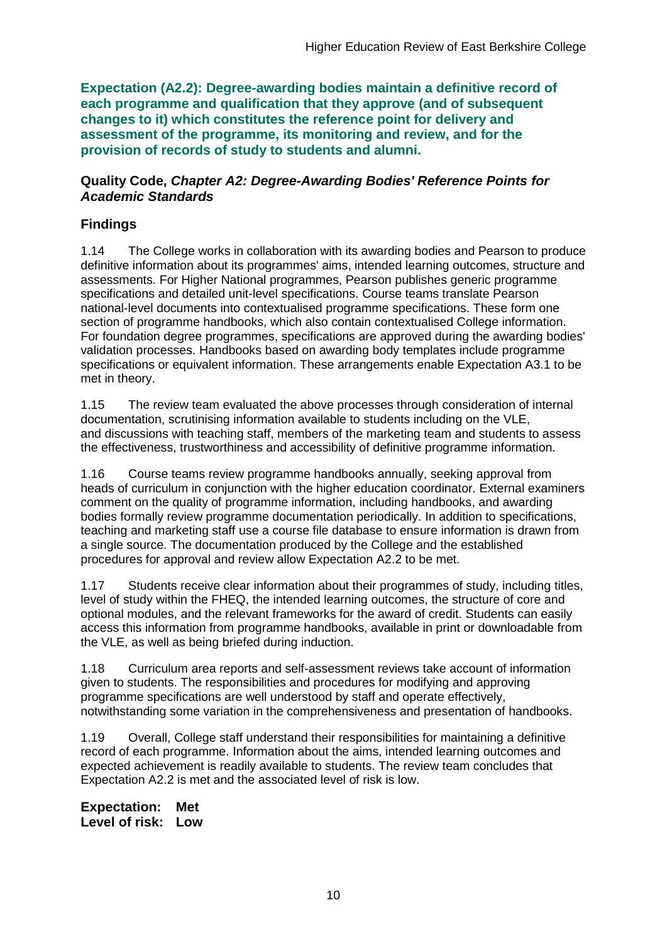**Expectation (A2.2): Degree-awarding bodies maintain a definitive record of each programme and qualification that they approve (and of subsequent changes to it) which constitutes the reference point for delivery and assessment of the programme, its monitoring and review, and for the provision of records of study to students and alumni.** 

### **Quality Code,** *Chapter A2: Degree-Awarding Bodies' Reference Points for Academic Standards*

## **Findings**

1.14 The College works in collaboration with its awarding bodies and Pearson to produce definitive information about its programmes' aims, intended learning outcomes, structure and assessments. For Higher National programmes, Pearson publishes generic programme specifications and detailed unit-level specifications. Course teams translate Pearson national-level documents into contextualised programme specifications. These form one section of programme handbooks, which also contain contextualised College information. For foundation degree programmes, specifications are approved during the awarding bodies' validation processes. Handbooks based on awarding body templates include programme specifications or equivalent information. These arrangements enable Expectation A3.1 to be met in theory.

1.15 The review team evaluated the above processes through consideration of internal documentation, scrutinising information available to students including on the VLE, and discussions with teaching staff, members of the marketing team and students to assess the effectiveness, trustworthiness and accessibility of definitive programme information.

1.16 Course teams review programme handbooks annually, seeking approval from heads of curriculum in conjunction with the higher education coordinator. External examiners comment on the quality of programme information, including handbooks, and awarding bodies formally review programme documentation periodically. In addition to specifications, teaching and marketing staff use a course file database to ensure information is drawn from a single source. The documentation produced by the College and the established procedures for approval and review allow Expectation A2.2 to be met.

1.17 Students receive clear information about their programmes of study, including titles, level of study within the FHEQ, the intended learning outcomes, the structure of core and optional modules, and the relevant frameworks for the award of credit. Students can easily access this information from programme handbooks, available in print or downloadable from the VLE, as well as being briefed during induction.

1.18 Curriculum area reports and self-assessment reviews take account of information given to students. The responsibilities and procedures for modifying and approving programme specifications are well understood by staff and operate effectively, notwithstanding some variation in the comprehensiveness and presentation of handbooks.

1.19 Overall, College staff understand their responsibilities for maintaining a definitive record of each programme. Information about the aims, intended learning outcomes and expected achievement is readily available to students. The review team concludes that Expectation A2.2 is met and the associated level of risk is low.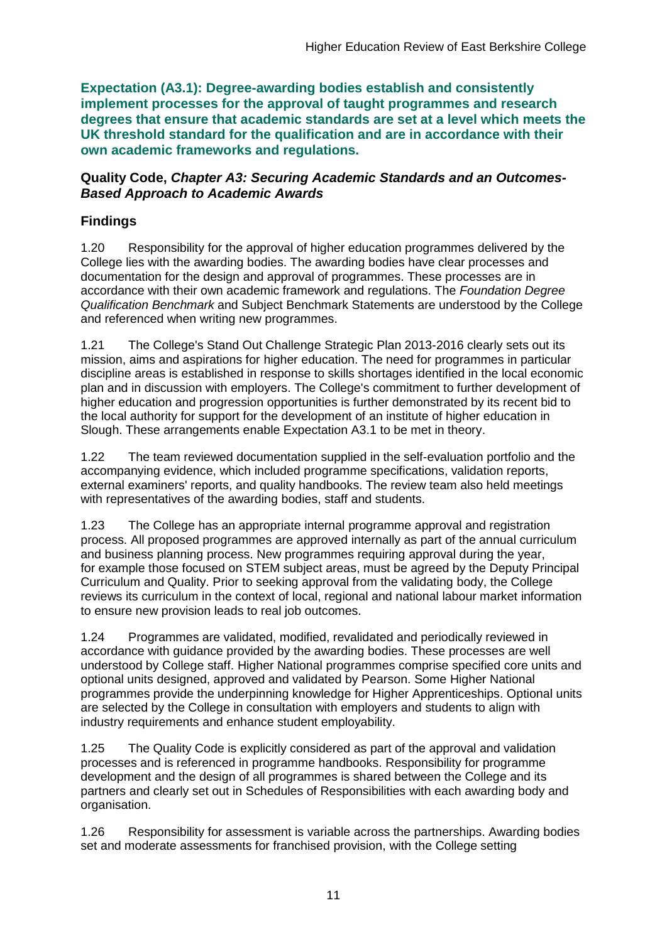**Expectation (A3.1): Degree-awarding bodies establish and consistently implement processes for the approval of taught programmes and research degrees that ensure that academic standards are set at a level which meets the UK threshold standard for the qualification and are in accordance with their own academic frameworks and regulations.**

### **Quality Code,** *Chapter A3: Securing Academic Standards and an Outcomes-Based Approach to Academic Awards*

## **Findings**

1.20 Responsibility for the approval of higher education programmes delivered by the College lies with the awarding bodies. The awarding bodies have clear processes and documentation for the design and approval of programmes. These processes are in accordance with their own academic framework and regulations. The *Foundation Degree Qualification Benchmark* and Subject Benchmark Statements are understood by the College and referenced when writing new programmes.

1.21 The College's Stand Out Challenge Strategic Plan 2013-2016 clearly sets out its mission, aims and aspirations for higher education. The need for programmes in particular discipline areas is established in response to skills shortages identified in the local economic plan and in discussion with employers. The College's commitment to further development of higher education and progression opportunities is further demonstrated by its recent bid to the local authority for support for the development of an institute of higher education in Slough. These arrangements enable Expectation A3.1 to be met in theory.

1.22 The team reviewed documentation supplied in the self-evaluation portfolio and the accompanying evidence, which included programme specifications, validation reports, external examiners' reports, and quality handbooks. The review team also held meetings with representatives of the awarding bodies, staff and students.

1.23 The College has an appropriate internal programme approval and registration process. All proposed programmes are approved internally as part of the annual curriculum and business planning process. New programmes requiring approval during the year, for example those focused on STEM subject areas, must be agreed by the Deputy Principal Curriculum and Quality. Prior to seeking approval from the validating body, the College reviews its curriculum in the context of local, regional and national labour market information to ensure new provision leads to real job outcomes.

1.24 Programmes are validated, modified, revalidated and periodically reviewed in accordance with guidance provided by the awarding bodies. These processes are well understood by College staff. Higher National programmes comprise specified core units and optional units designed, approved and validated by Pearson. Some Higher National programmes provide the underpinning knowledge for Higher Apprenticeships. Optional units are selected by the College in consultation with employers and students to align with industry requirements and enhance student employability.

1.25 The Quality Code is explicitly considered as part of the approval and validation processes and is referenced in programme handbooks. Responsibility for programme development and the design of all programmes is shared between the College and its partners and clearly set out in Schedules of Responsibilities with each awarding body and organisation.

1.26 Responsibility for assessment is variable across the partnerships. Awarding bodies set and moderate assessments for franchised provision, with the College setting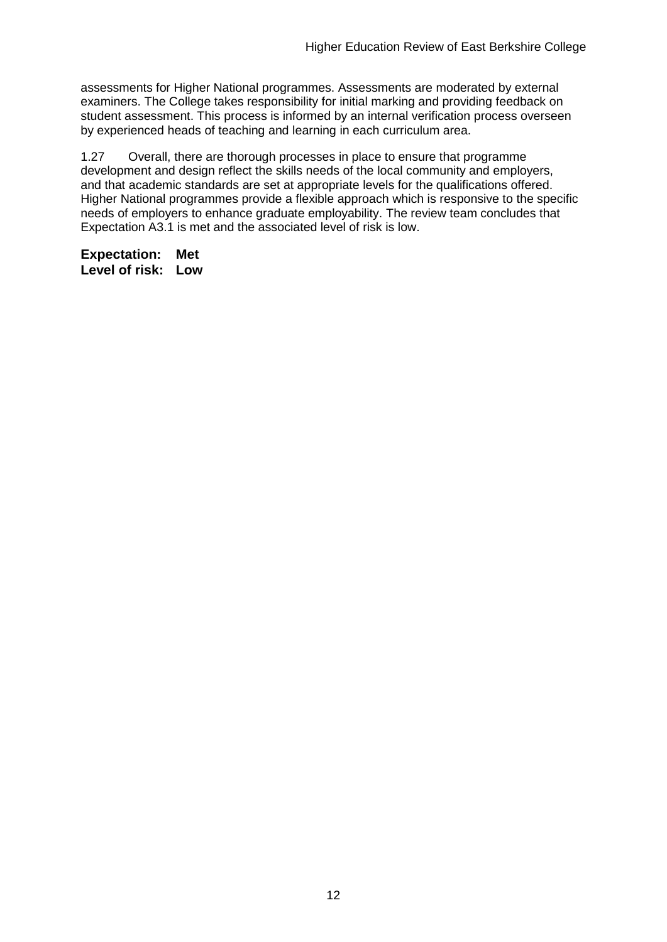assessments for Higher National programmes. Assessments are moderated by external examiners. The College takes responsibility for initial marking and providing feedback on student assessment. This process is informed by an internal verification process overseen by experienced heads of teaching and learning in each curriculum area.

1.27 Overall, there are thorough processes in place to ensure that programme development and design reflect the skills needs of the local community and employers, and that academic standards are set at appropriate levels for the qualifications offered. Higher National programmes provide a flexible approach which is responsive to the specific needs of employers to enhance graduate employability. The review team concludes that Expectation A3.1 is met and the associated level of risk is low.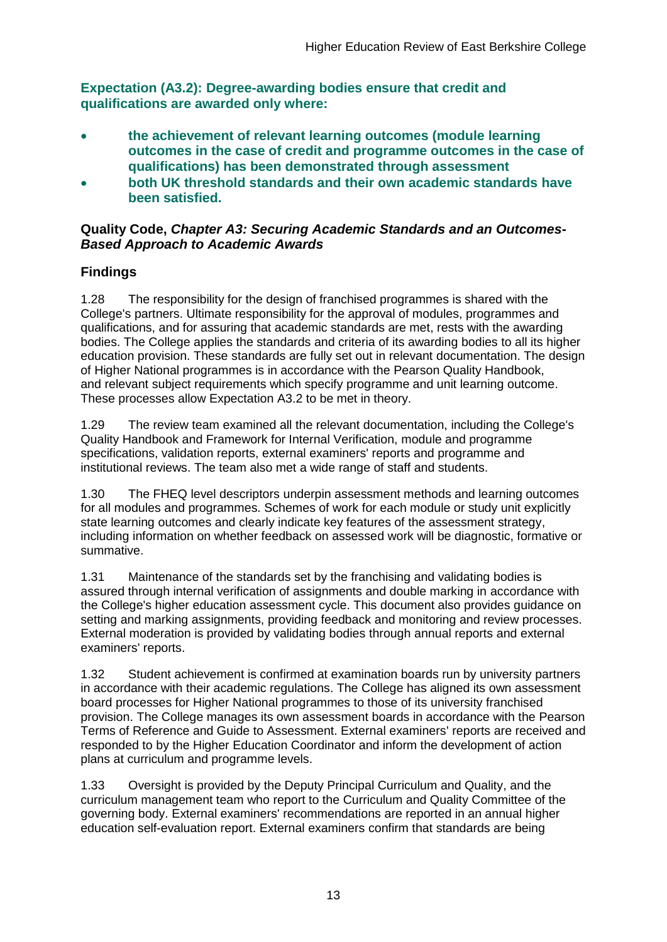**Expectation (A3.2): Degree-awarding bodies ensure that credit and qualifications are awarded only where:** 

- **the achievement of relevant learning outcomes (module learning outcomes in the case of credit and programme outcomes in the case of qualifications) has been demonstrated through assessment**
- **both UK threshold standards and their own academic standards have been satisfied.**

### **Quality Code,** *Chapter A3: Securing Academic Standards and an Outcomes-Based Approach to Academic Awards*

## **Findings**

1.28 The responsibility for the design of franchised programmes is shared with the College's partners. Ultimate responsibility for the approval of modules, programmes and qualifications, and for assuring that academic standards are met, rests with the awarding bodies. The College applies the standards and criteria of its awarding bodies to all its higher education provision. These standards are fully set out in relevant documentation. The design of Higher National programmes is in accordance with the Pearson Quality Handbook, and relevant subject requirements which specify programme and unit learning outcome. These processes allow Expectation A3.2 to be met in theory.

1.29 The review team examined all the relevant documentation, including the College's Quality Handbook and Framework for Internal Verification, module and programme specifications, validation reports, external examiners' reports and programme and institutional reviews. The team also met a wide range of staff and students.

1.30 The FHEQ level descriptors underpin assessment methods and learning outcomes for all modules and programmes. Schemes of work for each module or study unit explicitly state learning outcomes and clearly indicate key features of the assessment strategy, including information on whether feedback on assessed work will be diagnostic, formative or summative.

1.31 Maintenance of the standards set by the franchising and validating bodies is assured through internal verification of assignments and double marking in accordance with the College's higher education assessment cycle. This document also provides guidance on setting and marking assignments, providing feedback and monitoring and review processes. External moderation is provided by validating bodies through annual reports and external examiners' reports.

1.32 Student achievement is confirmed at examination boards run by university partners in accordance with their academic regulations. The College has aligned its own assessment board processes for Higher National programmes to those of its university franchised provision. The College manages its own assessment boards in accordance with the Pearson Terms of Reference and Guide to Assessment. External examiners' reports are received and responded to by the Higher Education Coordinator and inform the development of action plans at curriculum and programme levels.

1.33 Oversight is provided by the Deputy Principal Curriculum and Quality, and the curriculum management team who report to the Curriculum and Quality Committee of the governing body. External examiners' recommendations are reported in an annual higher education self-evaluation report. External examiners confirm that standards are being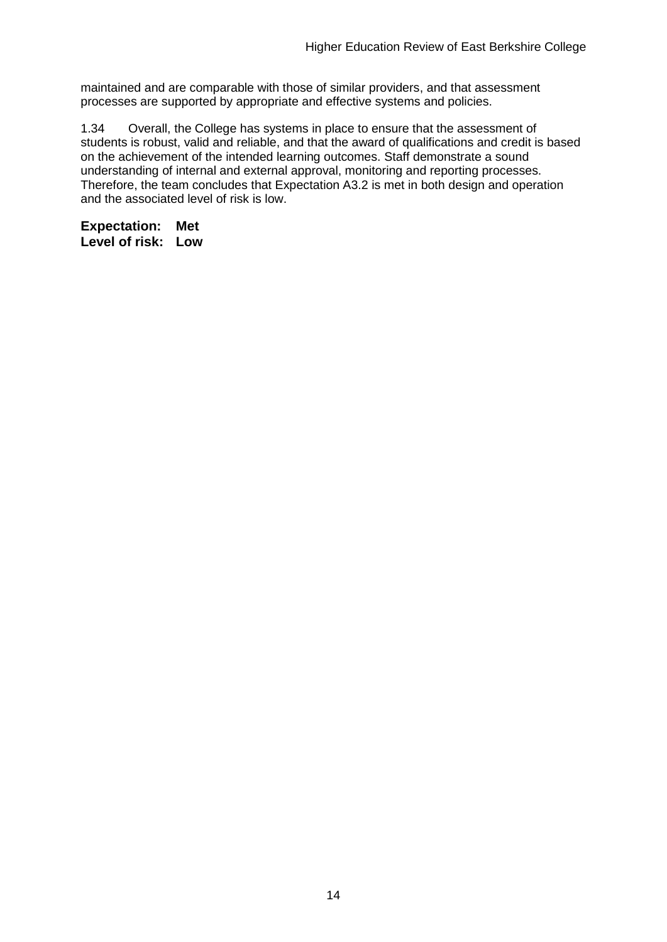maintained and are comparable with those of similar providers, and that assessment processes are supported by appropriate and effective systems and policies.

1.34 Overall, the College has systems in place to ensure that the assessment of students is robust, valid and reliable, and that the award of qualifications and credit is based on the achievement of the intended learning outcomes. Staff demonstrate a sound understanding of internal and external approval, monitoring and reporting processes. Therefore, the team concludes that Expectation A3.2 is met in both design and operation and the associated level of risk is low.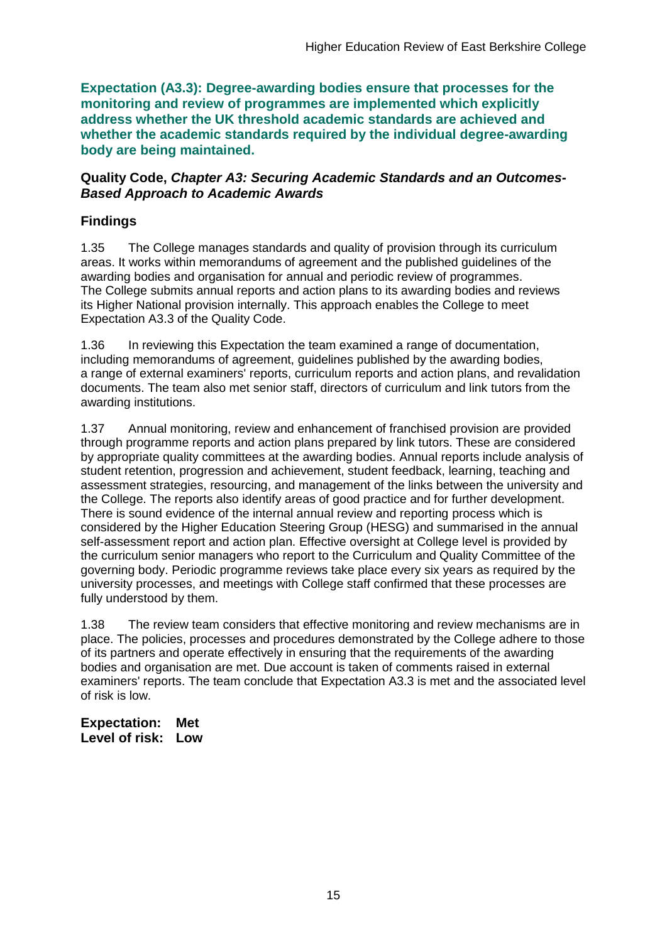**Expectation (A3.3): Degree-awarding bodies ensure that processes for the monitoring and review of programmes are implemented which explicitly address whether the UK threshold academic standards are achieved and whether the academic standards required by the individual degree-awarding body are being maintained.**

### **Quality Code,** *Chapter A3: Securing Academic Standards and an Outcomes-Based Approach to Academic Awards*

## **Findings**

1.35 The College manages standards and quality of provision through its curriculum areas. It works within memorandums of agreement and the published guidelines of the awarding bodies and organisation for annual and periodic review of programmes. The College submits annual reports and action plans to its awarding bodies and reviews its Higher National provision internally. This approach enables the College to meet Expectation A3.3 of the Quality Code.

1.36 In reviewing this Expectation the team examined a range of documentation, including memorandums of agreement, guidelines published by the awarding bodies, a range of external examiners' reports, curriculum reports and action plans, and revalidation documents. The team also met senior staff, directors of curriculum and link tutors from the awarding institutions.

1.37 Annual monitoring, review and enhancement of franchised provision are provided through programme reports and action plans prepared by link tutors. These are considered by appropriate quality committees at the awarding bodies. Annual reports include analysis of student retention, progression and achievement, student feedback, learning, teaching and assessment strategies, resourcing, and management of the links between the university and the College. The reports also identify areas of good practice and for further development. There is sound evidence of the internal annual review and reporting process which is considered by the Higher Education Steering Group (HESG) and summarised in the annual self-assessment report and action plan. Effective oversight at College level is provided by the curriculum senior managers who report to the Curriculum and Quality Committee of the governing body. Periodic programme reviews take place every six years as required by the university processes, and meetings with College staff confirmed that these processes are fully understood by them.

1.38 The review team considers that effective monitoring and review mechanisms are in place. The policies, processes and procedures demonstrated by the College adhere to those of its partners and operate effectively in ensuring that the requirements of the awarding bodies and organisation are met. Due account is taken of comments raised in external examiners' reports. The team conclude that Expectation A3.3 is met and the associated level of risk is low.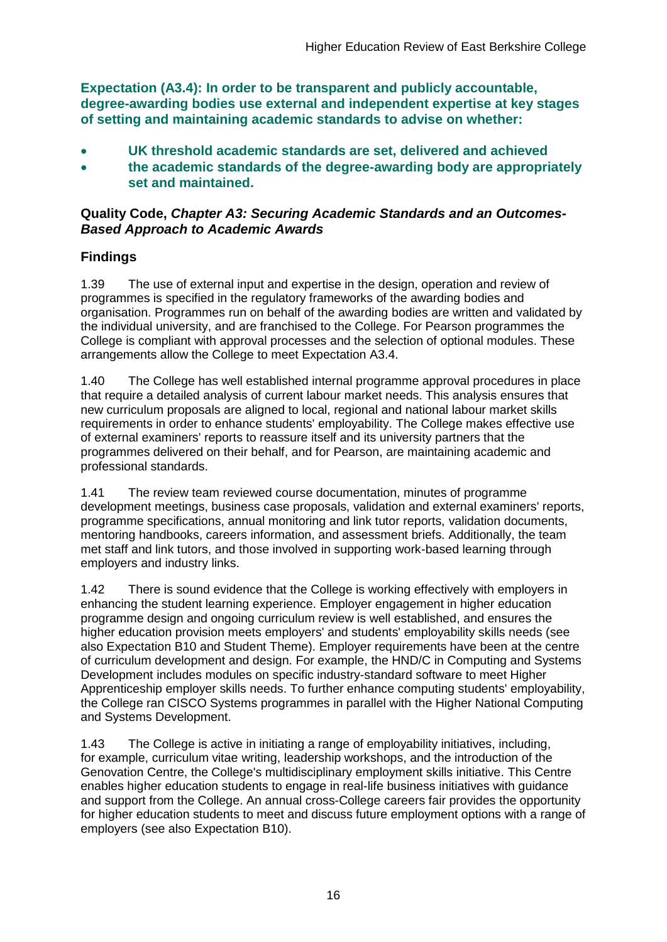**Expectation (A3.4): In order to be transparent and publicly accountable, degree-awarding bodies use external and independent expertise at key stages of setting and maintaining academic standards to advise on whether:**

- **UK threshold academic standards are set, delivered and achieved**
- **the academic standards of the degree-awarding body are appropriately set and maintained.**

### **Quality Code,** *Chapter A3: Securing Academic Standards and an Outcomes-Based Approach to Academic Awards*

### **Findings**

1.39 The use of external input and expertise in the design, operation and review of programmes is specified in the regulatory frameworks of the awarding bodies and organisation. Programmes run on behalf of the awarding bodies are written and validated by the individual university, and are franchised to the College. For Pearson programmes the College is compliant with approval processes and the selection of optional modules. These arrangements allow the College to meet Expectation A3.4.

1.40 The College has well established internal programme approval procedures in place that require a detailed analysis of current labour market needs. This analysis ensures that new curriculum proposals are aligned to local, regional and national labour market skills requirements in order to enhance students' employability. The College makes effective use of external examiners' reports to reassure itself and its university partners that the programmes delivered on their behalf, and for Pearson, are maintaining academic and professional standards.

1.41 The review team reviewed course documentation, minutes of programme development meetings, business case proposals, validation and external examiners' reports, programme specifications, annual monitoring and link tutor reports, validation documents, mentoring handbooks, careers information, and assessment briefs. Additionally, the team met staff and link tutors, and those involved in supporting work-based learning through employers and industry links.

1.42 There is sound evidence that the College is working effectively with employers in enhancing the student learning experience. Employer engagement in higher education programme design and ongoing curriculum review is well established, and ensures the higher education provision meets employers' and students' employability skills needs (see also Expectation B10 and Student Theme). Employer requirements have been at the centre of curriculum development and design. For example, the HND/C in Computing and Systems Development includes modules on specific industry-standard software to meet Higher Apprenticeship employer skills needs. To further enhance computing students' employability, the College ran CISCO Systems programmes in parallel with the Higher National Computing and Systems Development.

1.43 The College is active in initiating a range of employability initiatives, including, for example, curriculum vitae writing, leadership workshops, and the introduction of the Genovation Centre, the College's multidisciplinary employment skills initiative. This Centre enables higher education students to engage in real-life business initiatives with guidance and support from the College. An annual cross-College careers fair provides the opportunity for higher education students to meet and discuss future employment options with a range of employers (see also Expectation B10).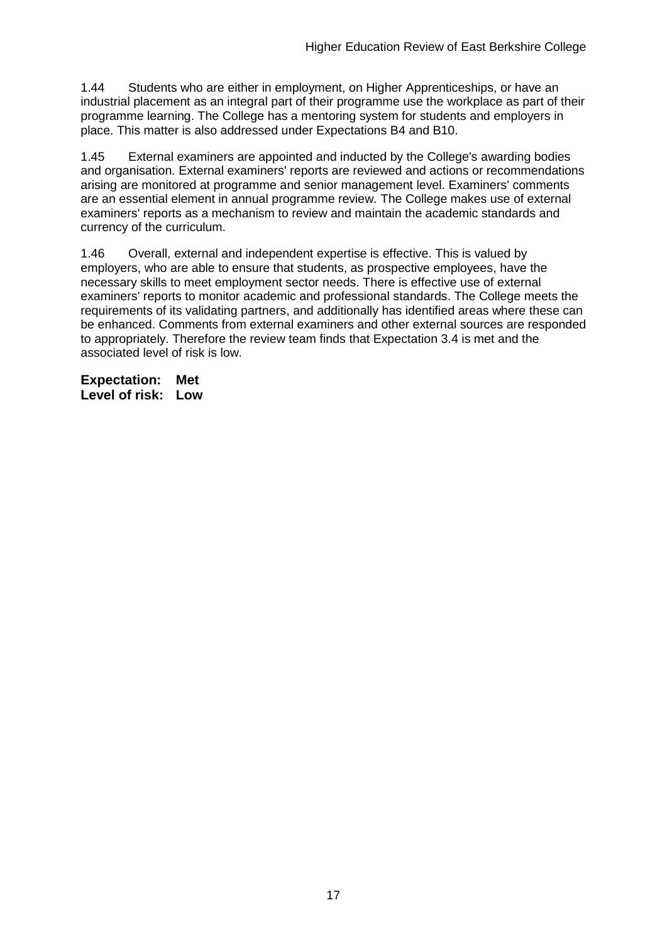1.44 Students who are either in employment, on Higher Apprenticeships, or have an industrial placement as an integral part of their programme use the workplace as part of their programme learning. The College has a mentoring system for students and employers in place. This matter is also addressed under Expectations B4 and B10.

1.45 External examiners are appointed and inducted by the College's awarding bodies and organisation. External examiners' reports are reviewed and actions or recommendations arising are monitored at programme and senior management level. Examiners' comments are an essential element in annual programme review. The College makes use of external examiners' reports as a mechanism to review and maintain the academic standards and currency of the curriculum.

1.46 Overall, external and independent expertise is effective. This is valued by employers, who are able to ensure that students, as prospective employees, have the necessary skills to meet employment sector needs. There is effective use of external examiners' reports to monitor academic and professional standards. The College meets the requirements of its validating partners, and additionally has identified areas where these can be enhanced. Comments from external examiners and other external sources are responded to appropriately. Therefore the review team finds that Expectation 3.4 is met and the associated level of risk is low.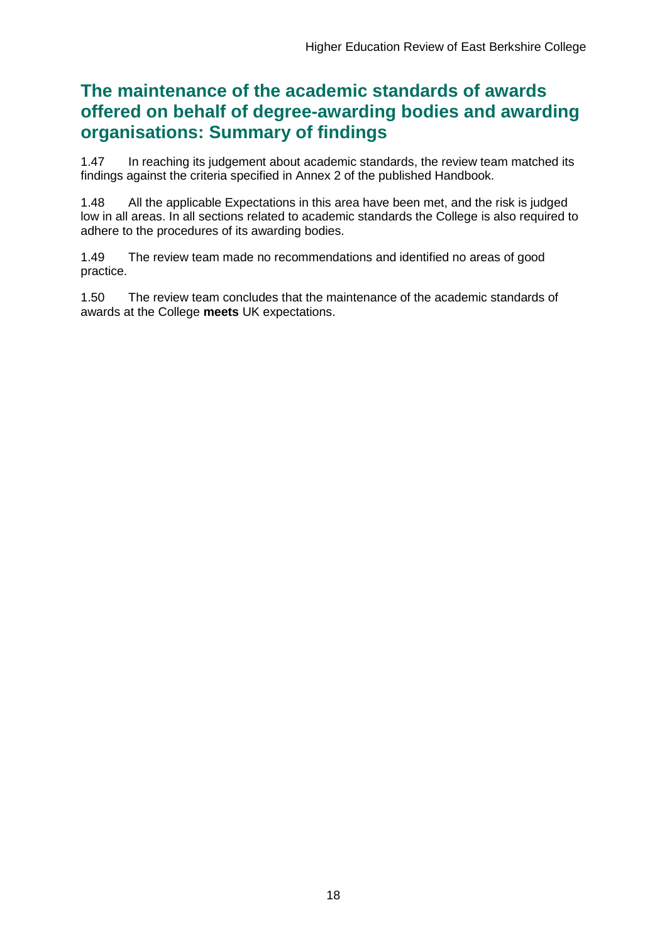## **The maintenance of the academic standards of awards offered on behalf of degree-awarding bodies and awarding organisations: Summary of findings**

1.47 In reaching its judgement about academic standards, the review team matched its findings against the criteria specified in Annex 2 of the published Handbook.

1.48 All the applicable Expectations in this area have been met, and the risk is judged low in all areas. In all sections related to academic standards the College is also required to adhere to the procedures of its awarding bodies.

1.49 The review team made no recommendations and identified no areas of good practice.

1.50 The review team concludes that the maintenance of the academic standards of awards at the College **meets** UK expectations.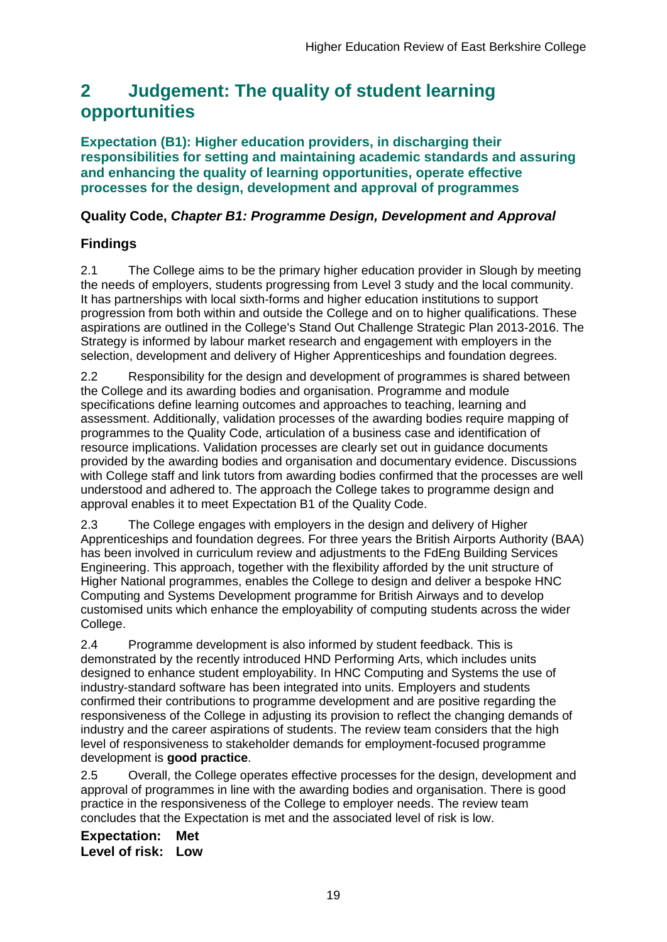## <span id="page-19-0"></span>**2 Judgement: The quality of student learning opportunities**

**Expectation (B1): Higher education providers, in discharging their responsibilities for setting and maintaining academic standards and assuring and enhancing the quality of learning opportunities, operate effective processes for the design, development and approval of programmes**

## **Quality Code,** *Chapter B1: Programme Design, Development and Approval*

## **Findings**

2.1 The College aims to be the primary higher education provider in Slough by meeting the needs of employers, students progressing from Level 3 study and the local community. It has partnerships with local sixth-forms and higher education institutions to support progression from both within and outside the College and on to higher qualifications. These aspirations are outlined in the College's Stand Out Challenge Strategic Plan 2013-2016. The Strategy is informed by labour market research and engagement with employers in the selection, development and delivery of Higher Apprenticeships and foundation degrees.

2.2 Responsibility for the design and development of programmes is shared between the College and its awarding bodies and organisation. Programme and module specifications define learning outcomes and approaches to teaching, learning and assessment. Additionally, validation processes of the awarding bodies require mapping of programmes to the Quality Code, articulation of a business case and identification of resource implications. Validation processes are clearly set out in guidance documents provided by the awarding bodies and organisation and documentary evidence. Discussions with College staff and link tutors from awarding bodies confirmed that the processes are well understood and adhered to. The approach the College takes to programme design and approval enables it to meet Expectation B1 of the Quality Code.

2.3 The College engages with employers in the design and delivery of Higher Apprenticeships and foundation degrees. For three years the British Airports Authority (BAA) has been involved in curriculum review and adjustments to the FdEng Building Services Engineering. This approach, together with the flexibility afforded by the unit structure of Higher National programmes, enables the College to design and deliver a bespoke HNC Computing and Systems Development programme for British Airways and to develop customised units which enhance the employability of computing students across the wider College.

2.4 Programme development is also informed by student feedback. This is demonstrated by the recently introduced HND Performing Arts, which includes units designed to enhance student employability. In HNC Computing and Systems the use of industry-standard software has been integrated into units. Employers and students confirmed their contributions to programme development and are positive regarding the responsiveness of the College in adjusting its provision to reflect the changing demands of industry and the career aspirations of students. The review team considers that the high level of responsiveness to stakeholder demands for employment-focused programme development is **good practice**.

2.5 Overall, the College operates effective processes for the design, development and approval of programmes in line with the awarding bodies and organisation. There is good practice in the responsiveness of the College to employer needs. The review team concludes that the Expectation is met and the associated level of risk is low.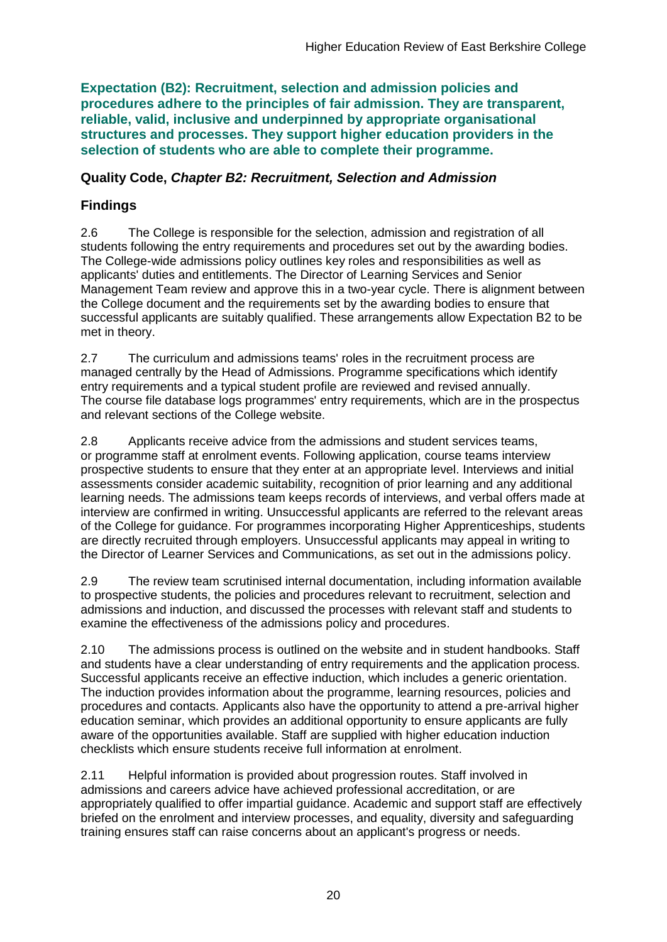**Expectation (B2): Recruitment, selection and admission policies and procedures adhere to the principles of fair admission. They are transparent, reliable, valid, inclusive and underpinned by appropriate organisational structures and processes. They support higher education providers in the selection of students who are able to complete their programme.**

### **Quality Code,** *Chapter B2: Recruitment, Selection and Admission*

## **Findings**

2.6 The College is responsible for the selection, admission and registration of all students following the entry requirements and procedures set out by the awarding bodies. The College-wide admissions policy outlines key roles and responsibilities as well as applicants' duties and entitlements. The Director of Learning Services and Senior Management Team review and approve this in a two-year cycle. There is alignment between the College document and the requirements set by the awarding bodies to ensure that successful applicants are suitably qualified. These arrangements allow Expectation B2 to be met in theory.

2.7 The curriculum and admissions teams' roles in the recruitment process are managed centrally by the Head of Admissions. Programme specifications which identify entry requirements and a typical student profile are reviewed and revised annually. The course file database logs programmes' entry requirements, which are in the prospectus and relevant sections of the College website.

2.8 Applicants receive advice from the admissions and student services teams, or programme staff at enrolment events. Following application, course teams interview prospective students to ensure that they enter at an appropriate level. Interviews and initial assessments consider academic suitability, recognition of prior learning and any additional learning needs. The admissions team keeps records of interviews, and verbal offers made at interview are confirmed in writing. Unsuccessful applicants are referred to the relevant areas of the College for guidance. For programmes incorporating Higher Apprenticeships, students are directly recruited through employers. Unsuccessful applicants may appeal in writing to the Director of Learner Services and Communications, as set out in the admissions policy.

2.9 The review team scrutinised internal documentation, including information available to prospective students, the policies and procedures relevant to recruitment, selection and admissions and induction, and discussed the processes with relevant staff and students to examine the effectiveness of the admissions policy and procedures.

2.10 The admissions process is outlined on the website and in student handbooks. Staff and students have a clear understanding of entry requirements and the application process. Successful applicants receive an effective induction, which includes a generic orientation. The induction provides information about the programme, learning resources, policies and procedures and contacts. Applicants also have the opportunity to attend a pre-arrival higher education seminar, which provides an additional opportunity to ensure applicants are fully aware of the opportunities available. Staff are supplied with higher education induction checklists which ensure students receive full information at enrolment.

2.11 Helpful information is provided about progression routes. Staff involved in admissions and careers advice have achieved professional accreditation, or are appropriately qualified to offer impartial guidance. Academic and support staff are effectively briefed on the enrolment and interview processes, and equality, diversity and safeguarding training ensures staff can raise concerns about an applicant's progress or needs.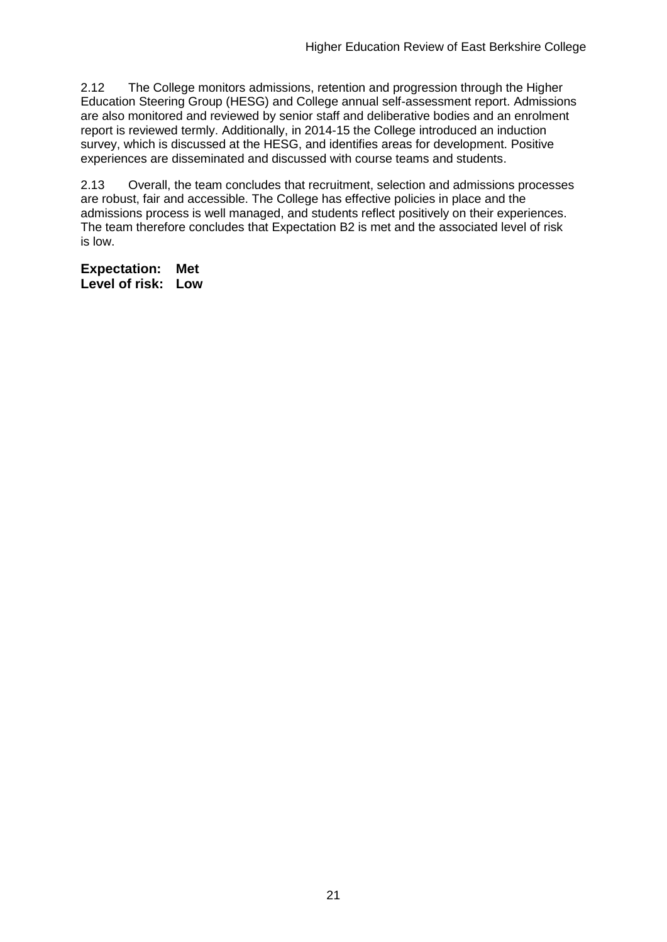2.12 The College monitors admissions, retention and progression through the Higher Education Steering Group (HESG) and College annual self-assessment report. Admissions are also monitored and reviewed by senior staff and deliberative bodies and an enrolment report is reviewed termly. Additionally, in 2014-15 the College introduced an induction survey, which is discussed at the HESG, and identifies areas for development. Positive experiences are disseminated and discussed with course teams and students.

2.13 Overall, the team concludes that recruitment, selection and admissions processes are robust, fair and accessible. The College has effective policies in place and the admissions process is well managed, and students reflect positively on their experiences. The team therefore concludes that Expectation B2 is met and the associated level of risk is low.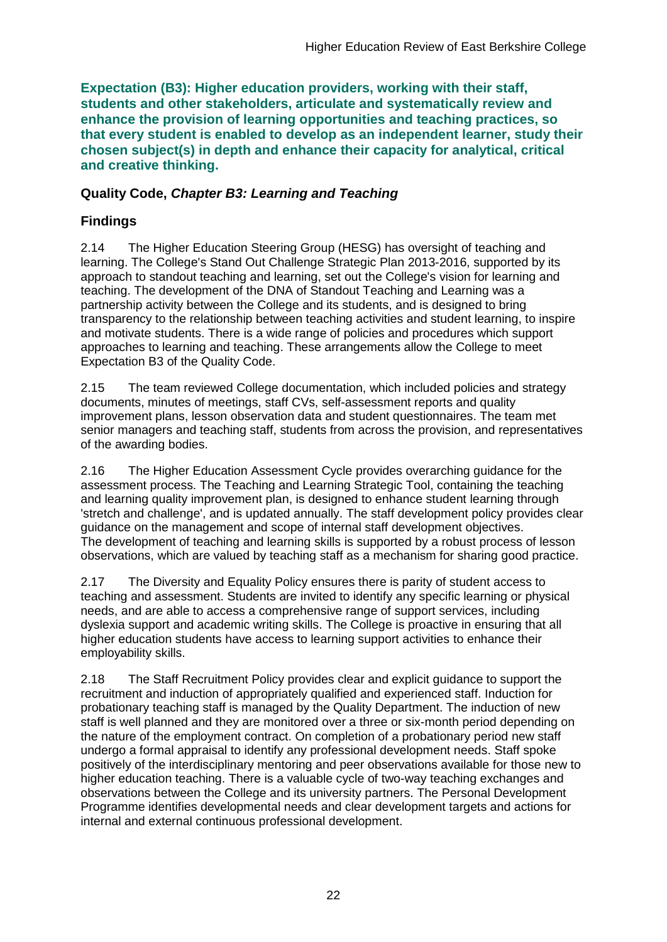**Expectation (B3): Higher education providers, working with their staff, students and other stakeholders, articulate and systematically review and enhance the provision of learning opportunities and teaching practices, so that every student is enabled to develop as an independent learner, study their chosen subject(s) in depth and enhance their capacity for analytical, critical and creative thinking.**

## **Quality Code,** *Chapter B3: Learning and Teaching*

## **Findings**

2.14 The Higher Education Steering Group (HESG) has oversight of teaching and learning. The College's Stand Out Challenge Strategic Plan 2013-2016, supported by its approach to standout teaching and learning, set out the College's vision for learning and teaching. The development of the DNA of Standout Teaching and Learning was a partnership activity between the College and its students, and is designed to bring transparency to the relationship between teaching activities and student learning, to inspire and motivate students. There is a wide range of policies and procedures which support approaches to learning and teaching. These arrangements allow the College to meet Expectation B3 of the Quality Code.

2.15 The team reviewed College documentation, which included policies and strategy documents, minutes of meetings, staff CVs, self-assessment reports and quality improvement plans, lesson observation data and student questionnaires. The team met senior managers and teaching staff, students from across the provision, and representatives of the awarding bodies.

2.16 The Higher Education Assessment Cycle provides overarching guidance for the assessment process. The Teaching and Learning Strategic Tool, containing the teaching and learning quality improvement plan, is designed to enhance student learning through 'stretch and challenge', and is updated annually. The staff development policy provides clear guidance on the management and scope of internal staff development objectives. The development of teaching and learning skills is supported by a robust process of lesson observations, which are valued by teaching staff as a mechanism for sharing good practice.

2.17 The Diversity and Equality Policy ensures there is parity of student access to teaching and assessment. Students are invited to identify any specific learning or physical needs, and are able to access a comprehensive range of support services, including dyslexia support and academic writing skills. The College is proactive in ensuring that all higher education students have access to learning support activities to enhance their employability skills.

2.18 The Staff Recruitment Policy provides clear and explicit guidance to support the recruitment and induction of appropriately qualified and experienced staff. Induction for probationary teaching staff is managed by the Quality Department. The induction of new staff is well planned and they are monitored over a three or six-month period depending on the nature of the employment contract. On completion of a probationary period new staff undergo a formal appraisal to identify any professional development needs. Staff spoke positively of the interdisciplinary mentoring and peer observations available for those new to higher education teaching. There is a valuable cycle of two-way teaching exchanges and observations between the College and its university partners. The Personal Development Programme identifies developmental needs and clear development targets and actions for internal and external continuous professional development.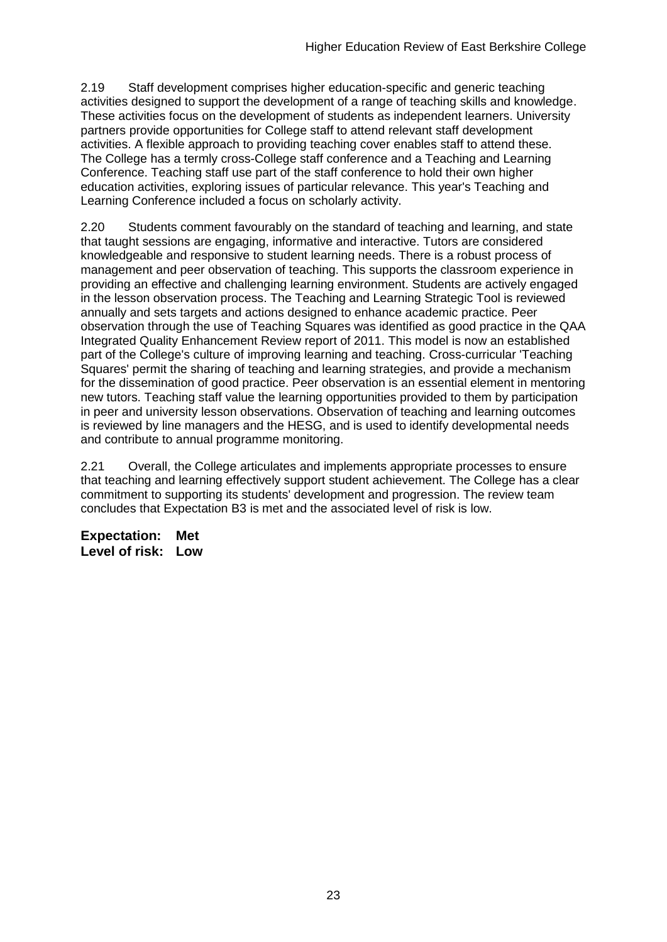2.19 Staff development comprises higher education-specific and generic teaching activities designed to support the development of a range of teaching skills and knowledge. These activities focus on the development of students as independent learners. University partners provide opportunities for College staff to attend relevant staff development activities. A flexible approach to providing teaching cover enables staff to attend these. The College has a termly cross-College staff conference and a Teaching and Learning Conference. Teaching staff use part of the staff conference to hold their own higher education activities, exploring issues of particular relevance. This year's Teaching and Learning Conference included a focus on scholarly activity.

2.20 Students comment favourably on the standard of teaching and learning, and state that taught sessions are engaging, informative and interactive. Tutors are considered knowledgeable and responsive to student learning needs. There is a robust process of management and peer observation of teaching. This supports the classroom experience in providing an effective and challenging learning environment. Students are actively engaged in the lesson observation process. The Teaching and Learning Strategic Tool is reviewed annually and sets targets and actions designed to enhance academic practice. Peer observation through the use of Teaching Squares was identified as good practice in the QAA Integrated Quality Enhancement Review report of 2011. This model is now an established part of the College's culture of improving learning and teaching. Cross-curricular 'Teaching Squares' permit the sharing of teaching and learning strategies, and provide a mechanism for the dissemination of good practice. Peer observation is an essential element in mentoring new tutors. Teaching staff value the learning opportunities provided to them by participation in peer and university lesson observations. Observation of teaching and learning outcomes is reviewed by line managers and the HESG, and is used to identify developmental needs and contribute to annual programme monitoring.

2.21 Overall, the College articulates and implements appropriate processes to ensure that teaching and learning effectively support student achievement. The College has a clear commitment to supporting its students' development and progression. The review team concludes that Expectation B3 is met and the associated level of risk is low.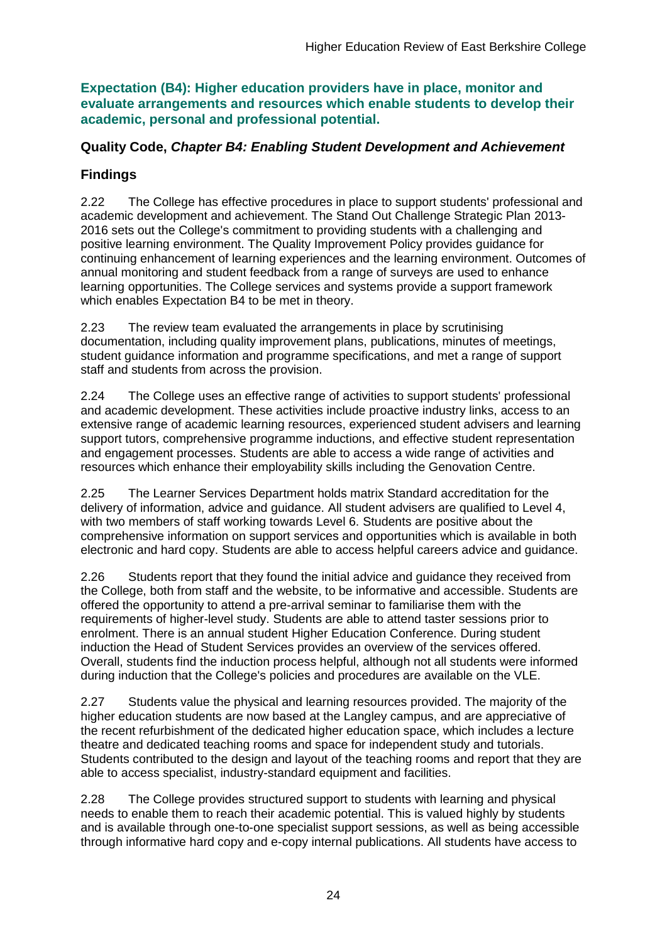**Expectation (B4): Higher education providers have in place, monitor and evaluate arrangements and resources which enable students to develop their academic, personal and professional potential.**

## **Quality Code,** *Chapter B4: Enabling Student Development and Achievement*

## **Findings**

2.22 The College has effective procedures in place to support students' professional and academic development and achievement. The Stand Out Challenge Strategic Plan 2013- 2016 sets out the College's commitment to providing students with a challenging and positive learning environment. The Quality Improvement Policy provides guidance for continuing enhancement of learning experiences and the learning environment. Outcomes of annual monitoring and student feedback from a range of surveys are used to enhance learning opportunities. The College services and systems provide a support framework which enables Expectation B4 to be met in theory.

2.23 The review team evaluated the arrangements in place by scrutinising documentation, including quality improvement plans, publications, minutes of meetings, student guidance information and programme specifications, and met a range of support staff and students from across the provision.

2.24 The College uses an effective range of activities to support students' professional and academic development. These activities include proactive industry links, access to an extensive range of academic learning resources, experienced student advisers and learning support tutors, comprehensive programme inductions, and effective student representation and engagement processes. Students are able to access a wide range of activities and resources which enhance their employability skills including the Genovation Centre.

2.25 The Learner Services Department holds matrix Standard accreditation for the delivery of information, advice and guidance. All student advisers are qualified to Level 4, with two members of staff working towards Level 6. Students are positive about the comprehensive information on support services and opportunities which is available in both electronic and hard copy. Students are able to access helpful careers advice and guidance.

2.26 Students report that they found the initial advice and guidance they received from the College, both from staff and the website, to be informative and accessible. Students are offered the opportunity to attend a pre-arrival seminar to familiarise them with the requirements of higher-level study. Students are able to attend taster sessions prior to enrolment. There is an annual student Higher Education Conference. During student induction the Head of Student Services provides an overview of the services offered. Overall, students find the induction process helpful, although not all students were informed during induction that the College's policies and procedures are available on the VLE.

2.27 Students value the physical and learning resources provided. The majority of the higher education students are now based at the Langley campus, and are appreciative of the recent refurbishment of the dedicated higher education space, which includes a lecture theatre and dedicated teaching rooms and space for independent study and tutorials. Students contributed to the design and layout of the teaching rooms and report that they are able to access specialist, industry-standard equipment and facilities.

2.28 The College provides structured support to students with learning and physical needs to enable them to reach their academic potential. This is valued highly by students and is available through one-to-one specialist support sessions, as well as being accessible through informative hard copy and e-copy internal publications. All students have access to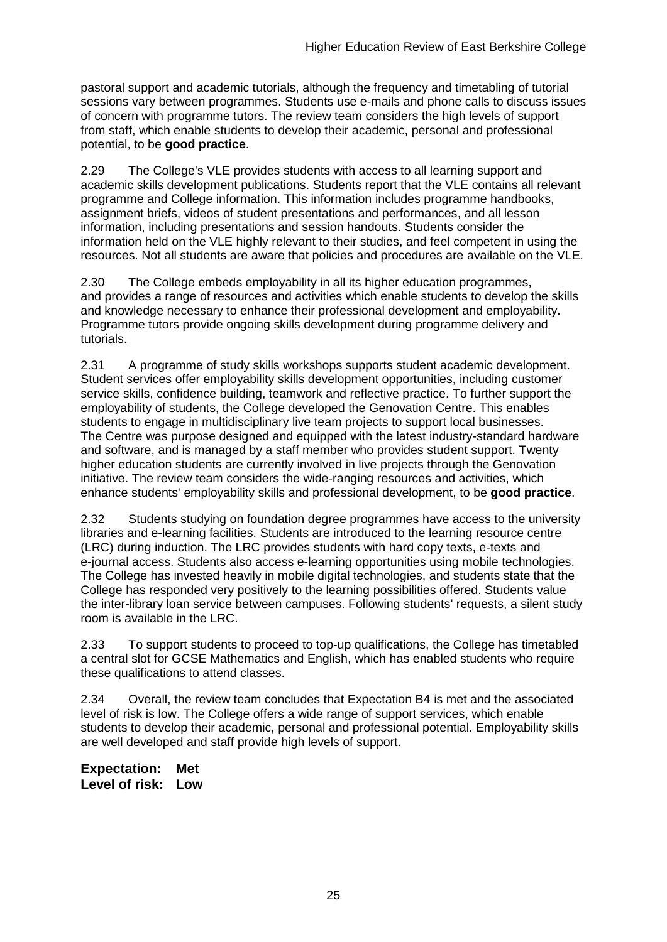pastoral support and academic tutorials, although the frequency and timetabling of tutorial sessions vary between programmes. Students use e-mails and phone calls to discuss issues of concern with programme tutors. The review team considers the high levels of support from staff, which enable students to develop their academic, personal and professional potential, to be **good practice**.

2.29 The College's VLE provides students with access to all learning support and academic skills development publications. Students report that the VLE contains all relevant programme and College information. This information includes programme handbooks, assignment briefs, videos of student presentations and performances, and all lesson information, including presentations and session handouts. Students consider the information held on the VLE highly relevant to their studies, and feel competent in using the resources. Not all students are aware that policies and procedures are available on the VLE.

2.30 The College embeds employability in all its higher education programmes, and provides a range of resources and activities which enable students to develop the skills and knowledge necessary to enhance their professional development and employability. Programme tutors provide ongoing skills development during programme delivery and tutorials.

2.31 A programme of study skills workshops supports student academic development. Student services offer employability skills development opportunities, including customer service skills, confidence building, teamwork and reflective practice. To further support the employability of students, the College developed the Genovation Centre. This enables students to engage in multidisciplinary live team projects to support local businesses. The Centre was purpose designed and equipped with the latest industry-standard hardware and software, and is managed by a staff member who provides student support. Twenty higher education students are currently involved in live projects through the Genovation initiative. The review team considers the wide-ranging resources and activities, which enhance students' employability skills and professional development, to be **good practice**.

2.32 Students studying on foundation degree programmes have access to the university libraries and e-learning facilities. Students are introduced to the learning resource centre (LRC) during induction. The LRC provides students with hard copy texts, e-texts and e-journal access. Students also access e-learning opportunities using mobile technologies. The College has invested heavily in mobile digital technologies, and students state that the College has responded very positively to the learning possibilities offered. Students value the inter-library loan service between campuses. Following students' requests, a silent study room is available in the LRC.

2.33 To support students to proceed to top-up qualifications, the College has timetabled a central slot for GCSE Mathematics and English, which has enabled students who require these qualifications to attend classes.

2.34 Overall, the review team concludes that Expectation B4 is met and the associated level of risk is low. The College offers a wide range of support services, which enable students to develop their academic, personal and professional potential. Employability skills are well developed and staff provide high levels of support.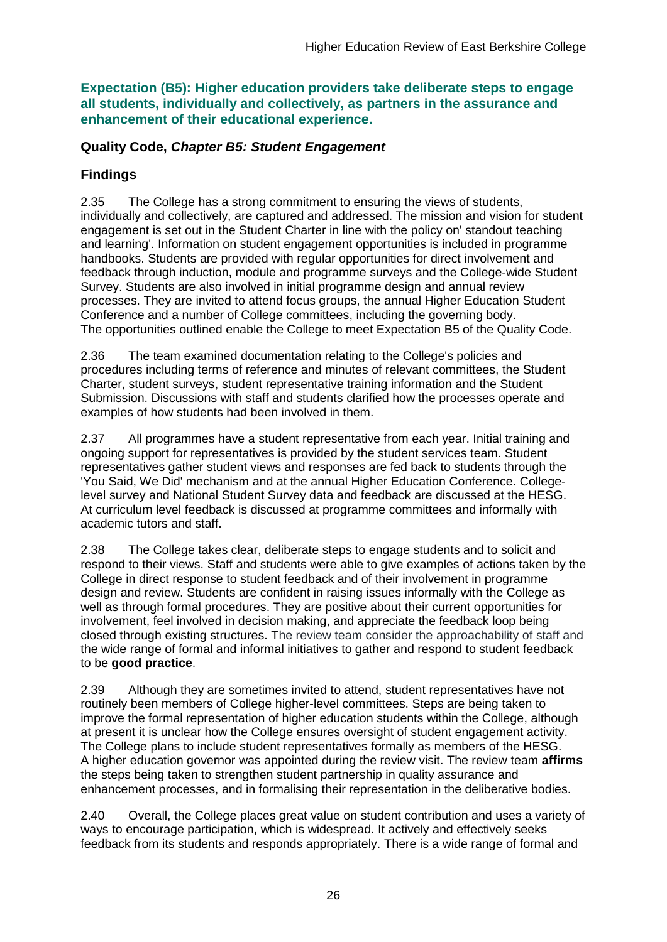**Expectation (B5): Higher education providers take deliberate steps to engage all students, individually and collectively, as partners in the assurance and enhancement of their educational experience.**

### **Quality Code,** *Chapter B5: Student Engagement*

## **Findings**

2.35 The College has a strong commitment to ensuring the views of students, individually and collectively, are captured and addressed. The mission and vision for student engagement is set out in the Student Charter in line with the policy on' standout teaching and learning'. Information on student engagement opportunities is included in programme handbooks. Students are provided with regular opportunities for direct involvement and feedback through induction, module and programme surveys and the College-wide Student Survey. Students are also involved in initial programme design and annual review processes. They are invited to attend focus groups, the annual Higher Education Student Conference and a number of College committees, including the governing body. The opportunities outlined enable the College to meet Expectation B5 of the Quality Code.

2.36 The team examined documentation relating to the College's policies and procedures including terms of reference and minutes of relevant committees, the Student Charter, student surveys, student representative training information and the Student Submission. Discussions with staff and students clarified how the processes operate and examples of how students had been involved in them.

2.37 All programmes have a student representative from each year. Initial training and ongoing support for representatives is provided by the student services team. Student representatives gather student views and responses are fed back to students through the 'You Said, We Did' mechanism and at the annual Higher Education Conference. Collegelevel survey and National Student Survey data and feedback are discussed at the HESG. At curriculum level feedback is discussed at programme committees and informally with academic tutors and staff.

2.38 The College takes clear, deliberate steps to engage students and to solicit and respond to their views. Staff and students were able to give examples of actions taken by the College in direct response to student feedback and of their involvement in programme design and review. Students are confident in raising issues informally with the College as well as through formal procedures. They are positive about their current opportunities for involvement, feel involved in decision making, and appreciate the feedback loop being closed through existing structures. The review team consider the approachability of staff and the wide range of formal and informal initiatives to gather and respond to student feedback to be **good practice**.

2.39 Although they are sometimes invited to attend, student representatives have not routinely been members of College higher-level committees. Steps are being taken to improve the formal representation of higher education students within the College, although at present it is unclear how the College ensures oversight of student engagement activity. The College plans to include student representatives formally as members of the HESG. A higher education governor was appointed during the review visit. The review team **affirms** the steps being taken to strengthen student partnership in quality assurance and enhancement processes, and in formalising their representation in the deliberative bodies.

2.40 Overall, the College places great value on student contribution and uses a variety of ways to encourage participation, which is widespread. It actively and effectively seeks feedback from its students and responds appropriately. There is a wide range of formal and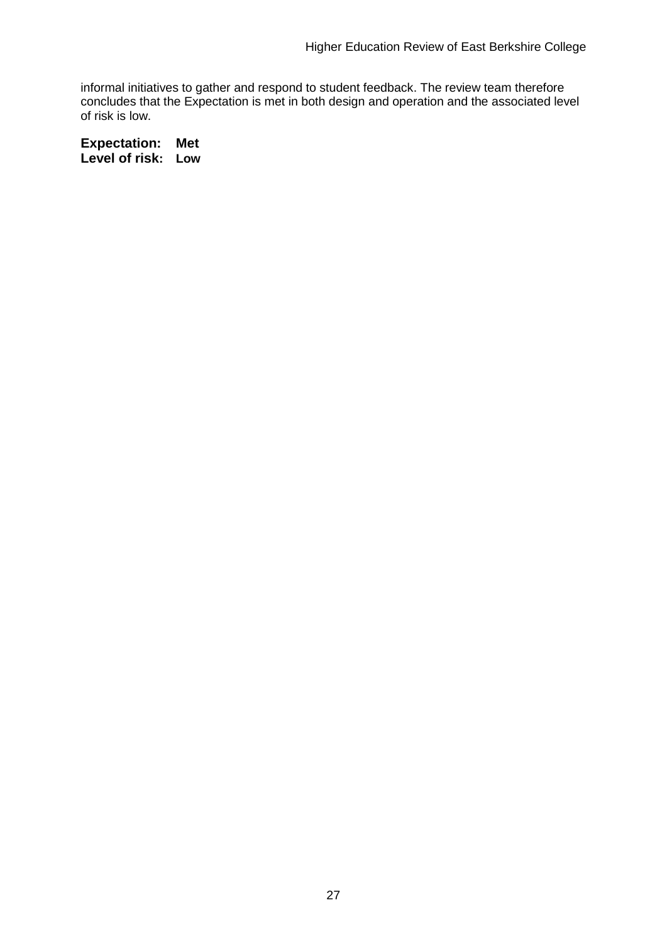informal initiatives to gather and respond to student feedback. The review team therefore concludes that the Expectation is met in both design and operation and the associated level of risk is low.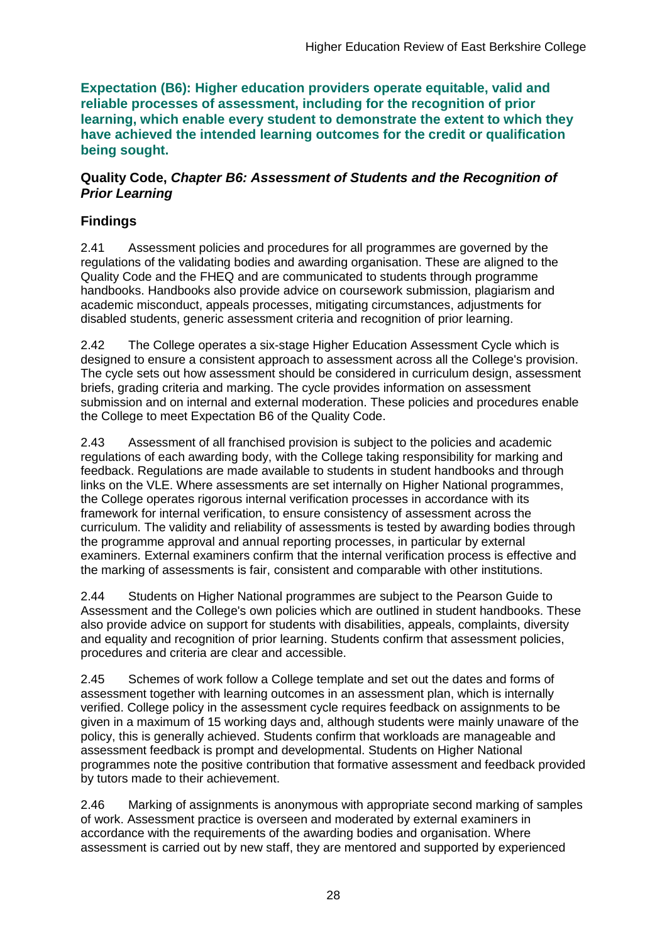**Expectation (B6): Higher education providers operate equitable, valid and reliable processes of assessment, including for the recognition of prior learning, which enable every student to demonstrate the extent to which they have achieved the intended learning outcomes for the credit or qualification being sought.**

### **Quality Code,** *Chapter B6: Assessment of Students and the Recognition of Prior Learning*

## **Findings**

2.41 Assessment policies and procedures for all programmes are governed by the regulations of the validating bodies and awarding organisation. These are aligned to the Quality Code and the FHEQ and are communicated to students through programme handbooks. Handbooks also provide advice on coursework submission, plagiarism and academic misconduct, appeals processes, mitigating circumstances, adjustments for disabled students, generic assessment criteria and recognition of prior learning.

2.42 The College operates a six-stage Higher Education Assessment Cycle which is designed to ensure a consistent approach to assessment across all the College's provision. The cycle sets out how assessment should be considered in curriculum design, assessment briefs, grading criteria and marking. The cycle provides information on assessment submission and on internal and external moderation. These policies and procedures enable the College to meet Expectation B6 of the Quality Code.

2.43 Assessment of all franchised provision is subject to the policies and academic regulations of each awarding body, with the College taking responsibility for marking and feedback. Regulations are made available to students in student handbooks and through links on the VLE. Where assessments are set internally on Higher National programmes, the College operates rigorous internal verification processes in accordance with its framework for internal verification, to ensure consistency of assessment across the curriculum. The validity and reliability of assessments is tested by awarding bodies through the programme approval and annual reporting processes, in particular by external examiners. External examiners confirm that the internal verification process is effective and the marking of assessments is fair, consistent and comparable with other institutions.

2.44 Students on Higher National programmes are subject to the Pearson Guide to Assessment and the College's own policies which are outlined in student handbooks. These also provide advice on support for students with disabilities, appeals, complaints, diversity and equality and recognition of prior learning. Students confirm that assessment policies, procedures and criteria are clear and accessible.

2.45 Schemes of work follow a College template and set out the dates and forms of assessment together with learning outcomes in an assessment plan, which is internally verified. College policy in the assessment cycle requires feedback on assignments to be given in a maximum of 15 working days and, although students were mainly unaware of the policy, this is generally achieved. Students confirm that workloads are manageable and assessment feedback is prompt and developmental. Students on Higher National programmes note the positive contribution that formative assessment and feedback provided by tutors made to their achievement.

2.46 Marking of assignments is anonymous with appropriate second marking of samples of work. Assessment practice is overseen and moderated by external examiners in accordance with the requirements of the awarding bodies and organisation. Where assessment is carried out by new staff, they are mentored and supported by experienced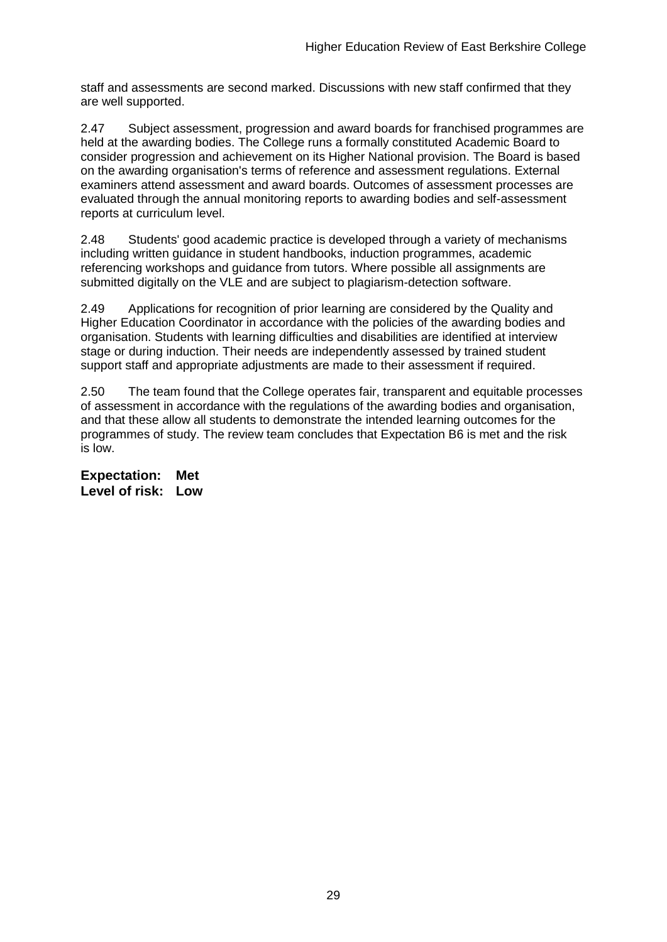staff and assessments are second marked. Discussions with new staff confirmed that they are well supported.

2.47 Subject assessment, progression and award boards for franchised programmes are held at the awarding bodies. The College runs a formally constituted Academic Board to consider progression and achievement on its Higher National provision. The Board is based on the awarding organisation's terms of reference and assessment regulations. External examiners attend assessment and award boards. Outcomes of assessment processes are evaluated through the annual monitoring reports to awarding bodies and self-assessment reports at curriculum level.

2.48 Students' good academic practice is developed through a variety of mechanisms including written guidance in student handbooks, induction programmes, academic referencing workshops and guidance from tutors. Where possible all assignments are submitted digitally on the VLE and are subject to plagiarism-detection software.

2.49 Applications for recognition of prior learning are considered by the Quality and Higher Education Coordinator in accordance with the policies of the awarding bodies and organisation. Students with learning difficulties and disabilities are identified at interview stage or during induction. Their needs are independently assessed by trained student support staff and appropriate adjustments are made to their assessment if required.

2.50 The team found that the College operates fair, transparent and equitable processes of assessment in accordance with the regulations of the awarding bodies and organisation, and that these allow all students to demonstrate the intended learning outcomes for the programmes of study. The review team concludes that Expectation B6 is met and the risk is low.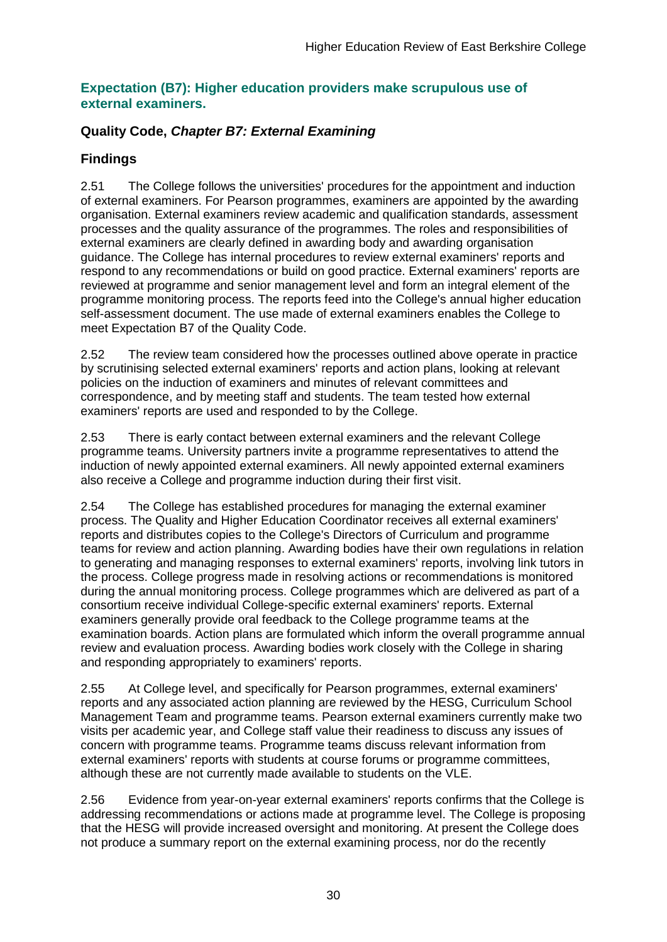### **Expectation (B7): Higher education providers make scrupulous use of external examiners.**

## **Quality Code,** *Chapter B7: External Examining*

## **Findings**

2.51 The College follows the universities' procedures for the appointment and induction of external examiners. For Pearson programmes, examiners are appointed by the awarding organisation. External examiners review academic and qualification standards, assessment processes and the quality assurance of the programmes. The roles and responsibilities of external examiners are clearly defined in awarding body and awarding organisation guidance. The College has internal procedures to review external examiners' reports and respond to any recommendations or build on good practice. External examiners' reports are reviewed at programme and senior management level and form an integral element of the programme monitoring process. The reports feed into the College's annual higher education self-assessment document. The use made of external examiners enables the College to meet Expectation B7 of the Quality Code.

2.52 The review team considered how the processes outlined above operate in practice by scrutinising selected external examiners' reports and action plans, looking at relevant policies on the induction of examiners and minutes of relevant committees and correspondence, and by meeting staff and students. The team tested how external examiners' reports are used and responded to by the College.

2.53 There is early contact between external examiners and the relevant College programme teams. University partners invite a programme representatives to attend the induction of newly appointed external examiners. All newly appointed external examiners also receive a College and programme induction during their first visit.

2.54 The College has established procedures for managing the external examiner process. The Quality and Higher Education Coordinator receives all external examiners' reports and distributes copies to the College's Directors of Curriculum and programme teams for review and action planning. Awarding bodies have their own regulations in relation to generating and managing responses to external examiners' reports, involving link tutors in the process. College progress made in resolving actions or recommendations is monitored during the annual monitoring process. College programmes which are delivered as part of a consortium receive individual College-specific external examiners' reports. External examiners generally provide oral feedback to the College programme teams at the examination boards. Action plans are formulated which inform the overall programme annual review and evaluation process. Awarding bodies work closely with the College in sharing and responding appropriately to examiners' reports.

2.55 At College level, and specifically for Pearson programmes, external examiners' reports and any associated action planning are reviewed by the HESG, Curriculum School Management Team and programme teams. Pearson external examiners currently make two visits per academic year, and College staff value their readiness to discuss any issues of concern with programme teams. Programme teams discuss relevant information from external examiners' reports with students at course forums or programme committees, although these are not currently made available to students on the VLE.

2.56 Evidence from year-on-year external examiners' reports confirms that the College is addressing recommendations or actions made at programme level. The College is proposing that the HESG will provide increased oversight and monitoring. At present the College does not produce a summary report on the external examining process, nor do the recently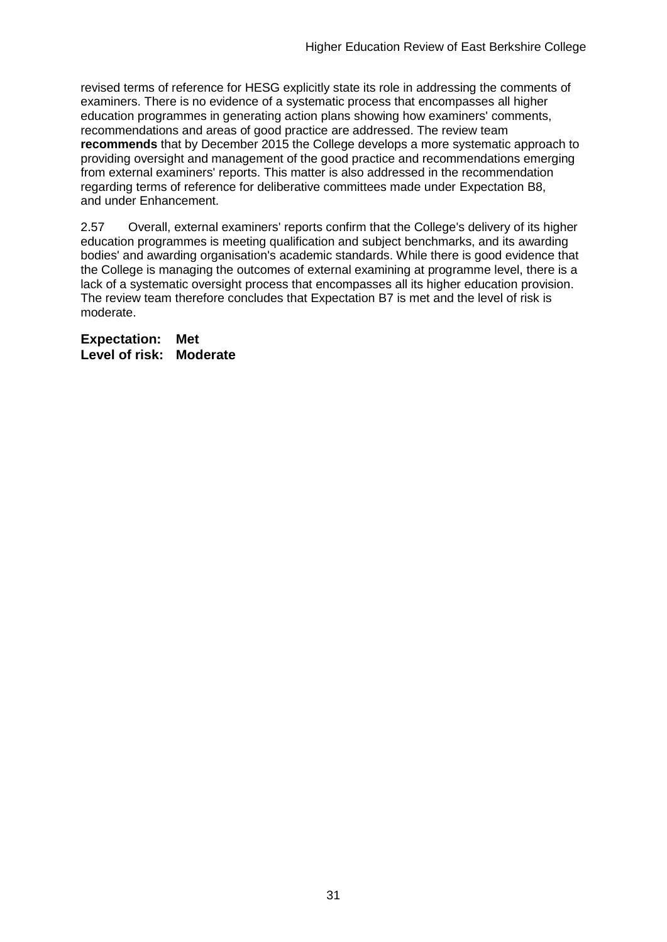revised terms of reference for HESG explicitly state its role in addressing the comments of examiners. There is no evidence of a systematic process that encompasses all higher education programmes in generating action plans showing how examiners' comments, recommendations and areas of good practice are addressed. The review team **recommends** that by December 2015 the College develops a more systematic approach to providing oversight and management of the good practice and recommendations emerging from external examiners' reports. This matter is also addressed in the recommendation regarding terms of reference for deliberative committees made under Expectation B8, and under Enhancement.

2.57 Overall, external examiners' reports confirm that the College's delivery of its higher education programmes is meeting qualification and subject benchmarks, and its awarding bodies' and awarding organisation's academic standards. While there is good evidence that the College is managing the outcomes of external examining at programme level, there is a lack of a systematic oversight process that encompasses all its higher education provision. The review team therefore concludes that Expectation B7 is met and the level of risk is moderate.

**Expectation: Met Level of risk: Moderate**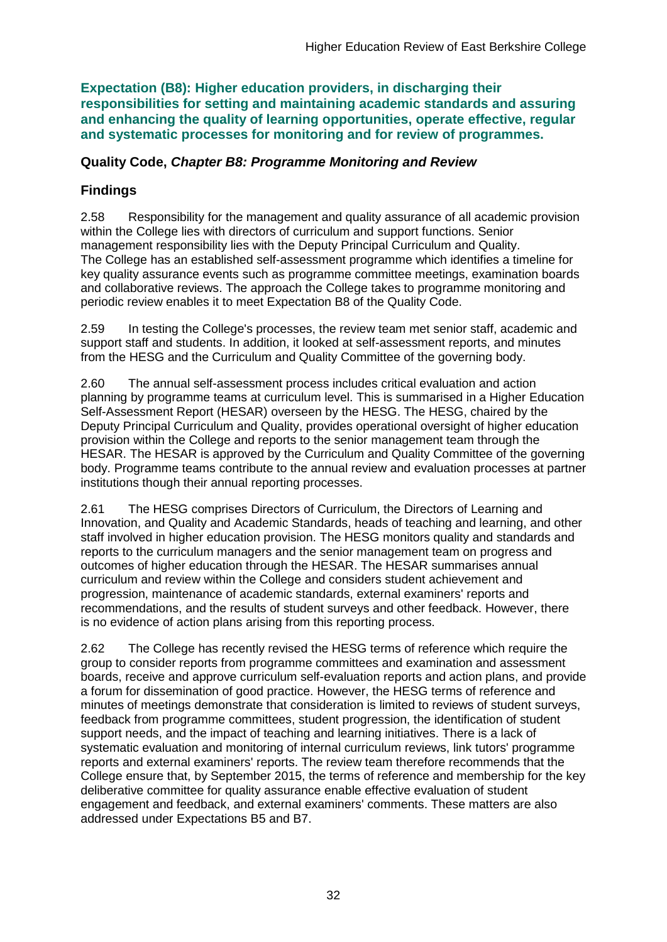**Expectation (B8): Higher education providers, in discharging their responsibilities for setting and maintaining academic standards and assuring and enhancing the quality of learning opportunities, operate effective, regular and systematic processes for monitoring and for review of programmes.**

### **Quality Code,** *Chapter B8: Programme Monitoring and Review*

## **Findings**

2.58 Responsibility for the management and quality assurance of all academic provision within the College lies with directors of curriculum and support functions. Senior management responsibility lies with the Deputy Principal Curriculum and Quality. The College has an established self-assessment programme which identifies a timeline for key quality assurance events such as programme committee meetings, examination boards and collaborative reviews. The approach the College takes to programme monitoring and periodic review enables it to meet Expectation B8 of the Quality Code.

2.59 In testing the College's processes, the review team met senior staff, academic and support staff and students. In addition, it looked at self-assessment reports, and minutes from the HESG and the Curriculum and Quality Committee of the governing body.

2.60 The annual self-assessment process includes critical evaluation and action planning by programme teams at curriculum level. This is summarised in a Higher Education Self-Assessment Report (HESAR) overseen by the HESG. The HESG, chaired by the Deputy Principal Curriculum and Quality, provides operational oversight of higher education provision within the College and reports to the senior management team through the HESAR. The HESAR is approved by the Curriculum and Quality Committee of the governing body. Programme teams contribute to the annual review and evaluation processes at partner institutions though their annual reporting processes.

2.61 The HESG comprises Directors of Curriculum, the Directors of Learning and Innovation, and Quality and Academic Standards, heads of teaching and learning, and other staff involved in higher education provision. The HESG monitors quality and standards and reports to the curriculum managers and the senior management team on progress and outcomes of higher education through the HESAR. The HESAR summarises annual curriculum and review within the College and considers student achievement and progression, maintenance of academic standards, external examiners' reports and recommendations, and the results of student surveys and other feedback. However, there is no evidence of action plans arising from this reporting process.

2.62 The College has recently revised the HESG terms of reference which require the group to consider reports from programme committees and examination and assessment boards, receive and approve curriculum self-evaluation reports and action plans, and provide a forum for dissemination of good practice. However, the HESG terms of reference and minutes of meetings demonstrate that consideration is limited to reviews of student surveys, feedback from programme committees, student progression, the identification of student support needs, and the impact of teaching and learning initiatives. There is a lack of systematic evaluation and monitoring of internal curriculum reviews, link tutors' programme reports and external examiners' reports. The review team therefore recommends that the College ensure that, by September 2015, the terms of reference and membership for the key deliberative committee for quality assurance enable effective evaluation of student engagement and feedback, and external examiners' comments. These matters are also addressed under Expectations B5 and B7.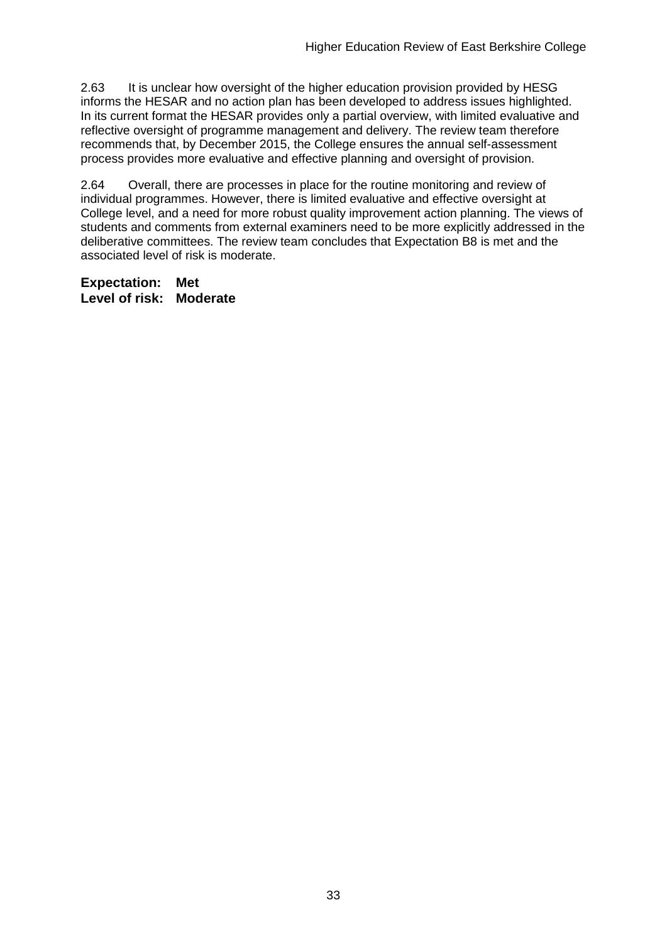2.63 It is unclear how oversight of the higher education provision provided by HESG informs the HESAR and no action plan has been developed to address issues highlighted. In its current format the HESAR provides only a partial overview, with limited evaluative and reflective oversight of programme management and delivery. The review team therefore recommends that, by December 2015, the College ensures the annual self-assessment process provides more evaluative and effective planning and oversight of provision.

2.64 Overall, there are processes in place for the routine monitoring and review of individual programmes. However, there is limited evaluative and effective oversight at College level, and a need for more robust quality improvement action planning. The views of students and comments from external examiners need to be more explicitly addressed in the deliberative committees. The review team concludes that Expectation B8 is met and the associated level of risk is moderate.

**Expectation: Met Level of risk: Moderate**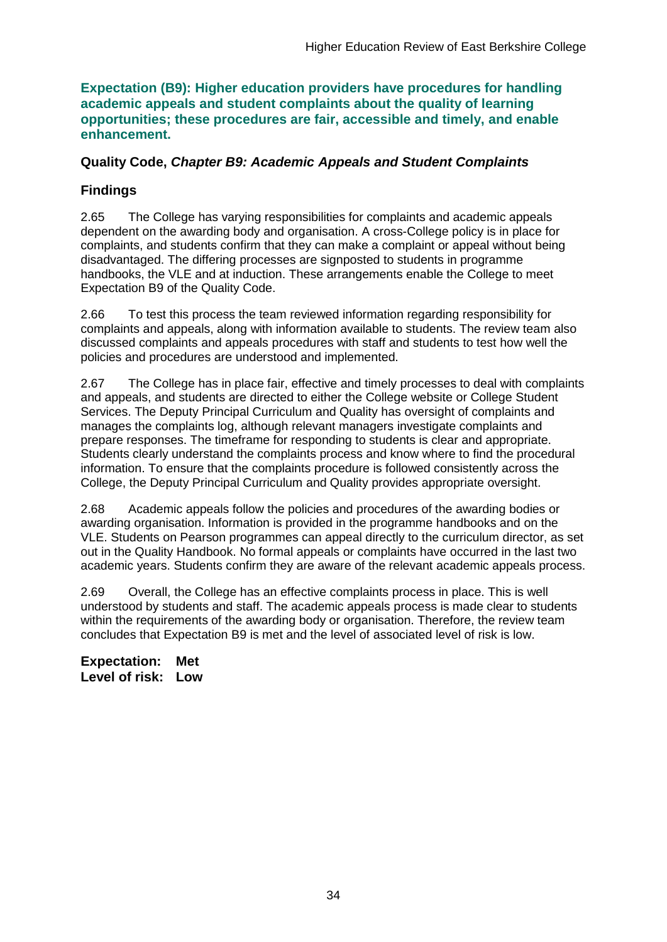**Expectation (B9): Higher education providers have procedures for handling academic appeals and student complaints about the quality of learning opportunities; these procedures are fair, accessible and timely, and enable enhancement.** 

### **Quality Code,** *Chapter B9: Academic Appeals and Student Complaints*

## **Findings**

2.65 The College has varying responsibilities for complaints and academic appeals dependent on the awarding body and organisation. A cross-College policy is in place for complaints, and students confirm that they can make a complaint or appeal without being disadvantaged. The differing processes are signposted to students in programme handbooks, the VLE and at induction. These arrangements enable the College to meet Expectation B9 of the Quality Code.

2.66 To test this process the team reviewed information regarding responsibility for complaints and appeals, along with information available to students. The review team also discussed complaints and appeals procedures with staff and students to test how well the policies and procedures are understood and implemented.

2.67 The College has in place fair, effective and timely processes to deal with complaints and appeals, and students are directed to either the College website or College Student Services. The Deputy Principal Curriculum and Quality has oversight of complaints and manages the complaints log, although relevant managers investigate complaints and prepare responses. The timeframe for responding to students is clear and appropriate. Students clearly understand the complaints process and know where to find the procedural information. To ensure that the complaints procedure is followed consistently across the College, the Deputy Principal Curriculum and Quality provides appropriate oversight.

2.68 Academic appeals follow the policies and procedures of the awarding bodies or awarding organisation. Information is provided in the programme handbooks and on the VLE. Students on Pearson programmes can appeal directly to the curriculum director, as set out in the Quality Handbook. No formal appeals or complaints have occurred in the last two academic years. Students confirm they are aware of the relevant academic appeals process.

2.69 Overall, the College has an effective complaints process in place. This is well understood by students and staff. The academic appeals process is made clear to students within the requirements of the awarding body or organisation. Therefore, the review team concludes that Expectation B9 is met and the level of associated level of risk is low.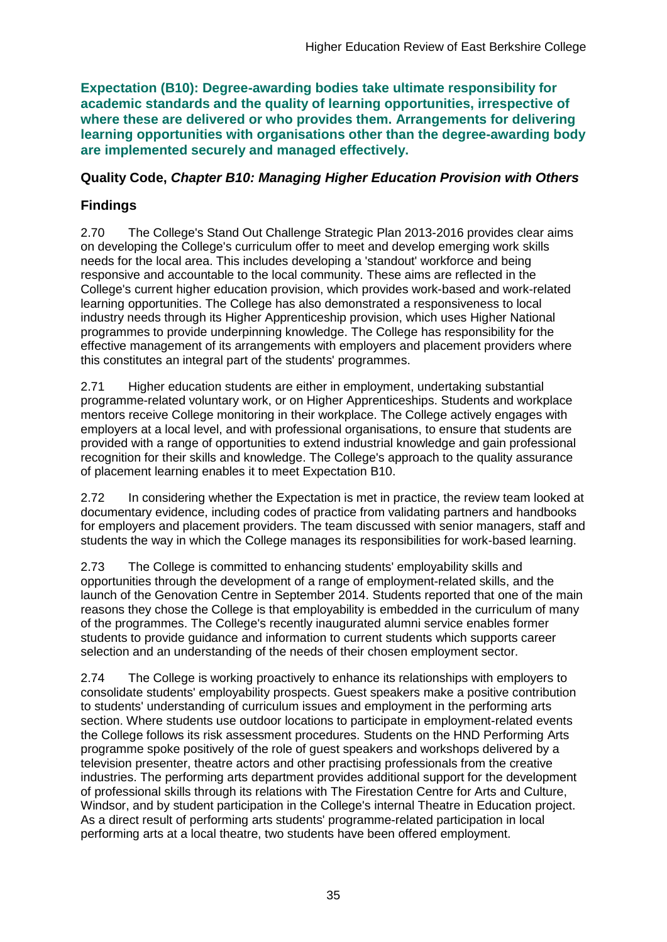**Expectation (B10): Degree-awarding bodies take ultimate responsibility for academic standards and the quality of learning opportunities, irrespective of where these are delivered or who provides them. Arrangements for delivering learning opportunities with organisations other than the degree-awarding body are implemented securely and managed effectively.**

## **Quality Code,** *Chapter B10: Managing Higher Education Provision with Others*

## **Findings**

2.70 The College's Stand Out Challenge Strategic Plan 2013-2016 provides clear aims on developing the College's curriculum offer to meet and develop emerging work skills needs for the local area. This includes developing a 'standout' workforce and being responsive and accountable to the local community. These aims are reflected in the College's current higher education provision, which provides work-based and work-related learning opportunities. The College has also demonstrated a responsiveness to local industry needs through its Higher Apprenticeship provision, which uses Higher National programmes to provide underpinning knowledge. The College has responsibility for the effective management of its arrangements with employers and placement providers where this constitutes an integral part of the students' programmes.

2.71 Higher education students are either in employment, undertaking substantial programme-related voluntary work, or on Higher Apprenticeships. Students and workplace mentors receive College monitoring in their workplace. The College actively engages with employers at a local level, and with professional organisations, to ensure that students are provided with a range of opportunities to extend industrial knowledge and gain professional recognition for their skills and knowledge. The College's approach to the quality assurance of placement learning enables it to meet Expectation B10.

2.72 In considering whether the Expectation is met in practice, the review team looked at documentary evidence, including codes of practice from validating partners and handbooks for employers and placement providers. The team discussed with senior managers, staff and students the way in which the College manages its responsibilities for work-based learning.

2.73 The College is committed to enhancing students' employability skills and opportunities through the development of a range of employment-related skills, and the launch of the Genovation Centre in September 2014. Students reported that one of the main reasons they chose the College is that employability is embedded in the curriculum of many of the programmes. The College's recently inaugurated alumni service enables former students to provide guidance and information to current students which supports career selection and an understanding of the needs of their chosen employment sector.

2.74 The College is working proactively to enhance its relationships with employers to consolidate students' employability prospects. Guest speakers make a positive contribution to students' understanding of curriculum issues and employment in the performing arts section. Where students use outdoor locations to participate in employment-related events the College follows its risk assessment procedures. Students on the HND Performing Arts programme spoke positively of the role of guest speakers and workshops delivered by a television presenter, theatre actors and other practising professionals from the creative industries. The performing arts department provides additional support for the development of professional skills through its relations with The Firestation Centre for Arts and Culture, Windsor, and by student participation in the College's internal Theatre in Education project. As a direct result of performing arts students' programme-related participation in local performing arts at a local theatre, two students have been offered employment.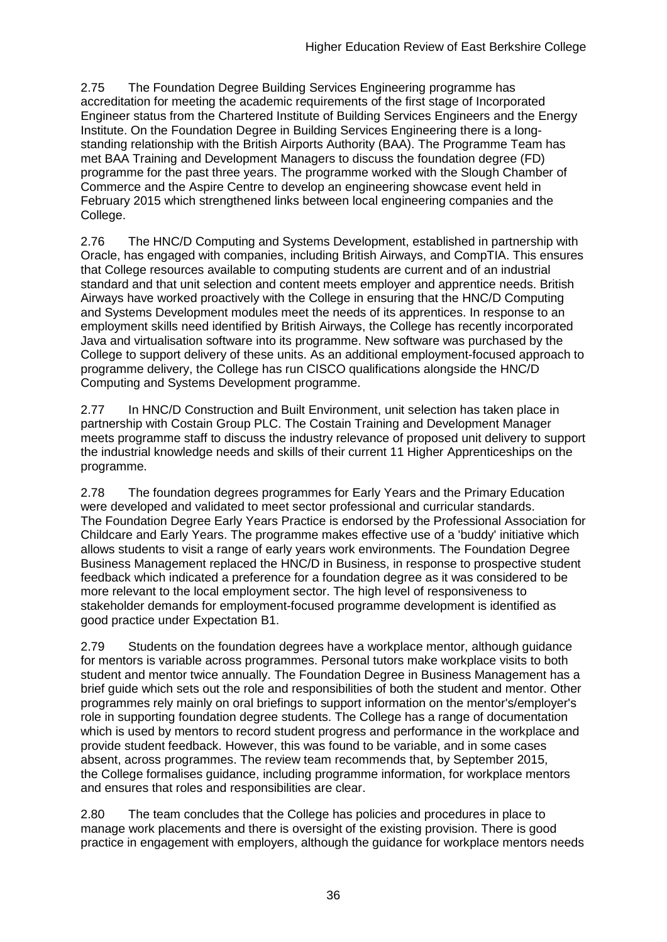2.75 The Foundation Degree Building Services Engineering programme has accreditation for meeting the academic requirements of the first stage of Incorporated Engineer status from the Chartered Institute of Building Services Engineers and the Energy Institute. On the Foundation Degree in Building Services Engineering there is a longstanding relationship with the British Airports Authority (BAA). The Programme Team has met BAA Training and Development Managers to discuss the foundation degree (FD) programme for the past three years. The programme worked with the Slough Chamber of Commerce and the Aspire Centre to develop an engineering showcase event held in February 2015 which strengthened links between local engineering companies and the College.

2.76 The HNC/D Computing and Systems Development, established in partnership with Oracle, has engaged with companies, including British Airways, and CompTIA. This ensures that College resources available to computing students are current and of an industrial standard and that unit selection and content meets employer and apprentice needs. British Airways have worked proactively with the College in ensuring that the HNC/D Computing and Systems Development modules meet the needs of its apprentices. In response to an employment skills need identified by British Airways, the College has recently incorporated Java and virtualisation software into its programme. New software was purchased by the College to support delivery of these units. As an additional employment-focused approach to programme delivery, the College has run CISCO qualifications alongside the HNC/D Computing and Systems Development programme.

2.77 In HNC/D Construction and Built Environment, unit selection has taken place in partnership with Costain Group PLC. The Costain Training and Development Manager meets programme staff to discuss the industry relevance of proposed unit delivery to support the industrial knowledge needs and skills of their current 11 Higher Apprenticeships on the programme.

2.78 The foundation degrees programmes for Early Years and the Primary Education were developed and validated to meet sector professional and curricular standards. The Foundation Degree Early Years Practice is endorsed by the Professional Association for Childcare and Early Years. The programme makes effective use of a 'buddy' initiative which allows students to visit a range of early years work environments. The Foundation Degree Business Management replaced the HNC/D in Business, in response to prospective student feedback which indicated a preference for a foundation degree as it was considered to be more relevant to the local employment sector. The high level of responsiveness to stakeholder demands for employment-focused programme development is identified as good practice under Expectation B1.

2.79 Students on the foundation degrees have a workplace mentor, although guidance for mentors is variable across programmes. Personal tutors make workplace visits to both student and mentor twice annually. The Foundation Degree in Business Management has a brief guide which sets out the role and responsibilities of both the student and mentor. Other programmes rely mainly on oral briefings to support information on the mentor's/employer's role in supporting foundation degree students. The College has a range of documentation which is used by mentors to record student progress and performance in the workplace and provide student feedback. However, this was found to be variable, and in some cases absent, across programmes. The review team recommends that, by September 2015, the College formalises guidance, including programme information, for workplace mentors and ensures that roles and responsibilities are clear.

2.80 The team concludes that the College has policies and procedures in place to manage work placements and there is oversight of the existing provision. There is good practice in engagement with employers, although the guidance for workplace mentors needs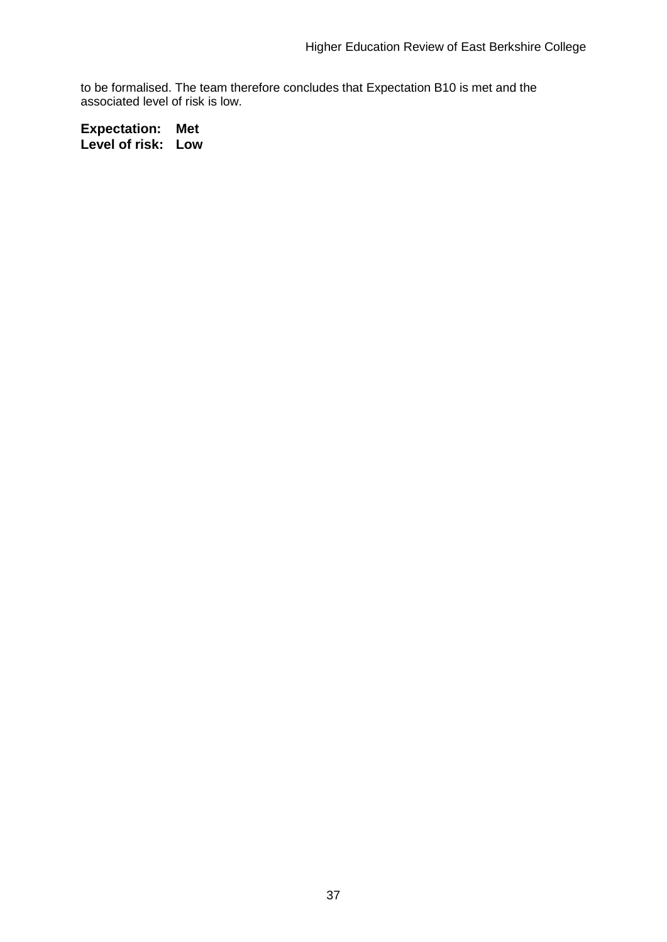to be formalised. The team therefore concludes that Expectation B10 is met and the associated level of risk is low.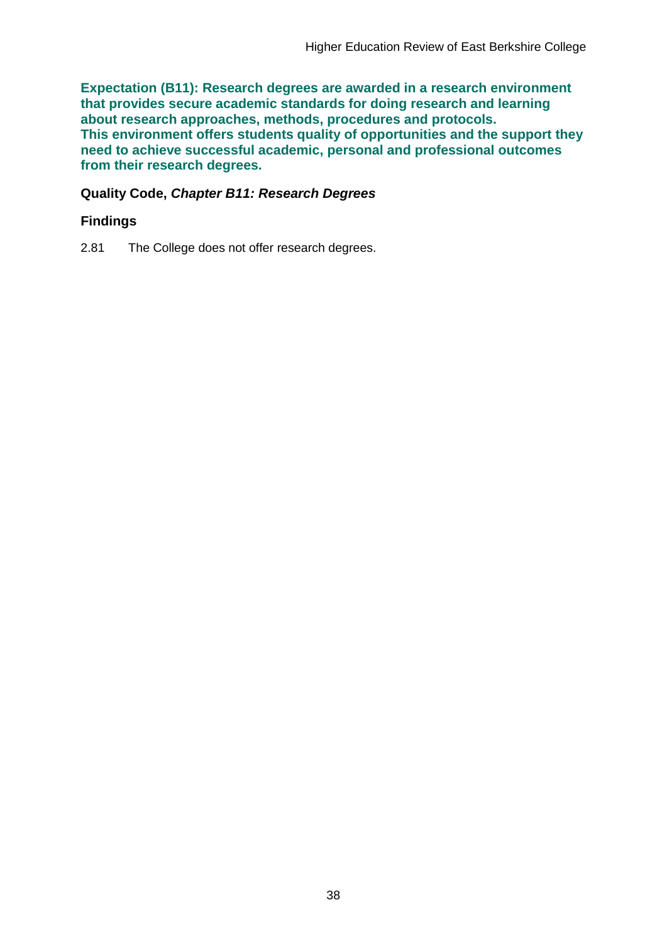**Expectation (B11): Research degrees are awarded in a research environment that provides secure academic standards for doing research and learning about research approaches, methods, procedures and protocols. This environment offers students quality of opportunities and the support they need to achieve successful academic, personal and professional outcomes from their research degrees.**

### **Quality Code,** *Chapter B11: Research Degrees*

### **Findings**

2.81 The College does not offer research degrees.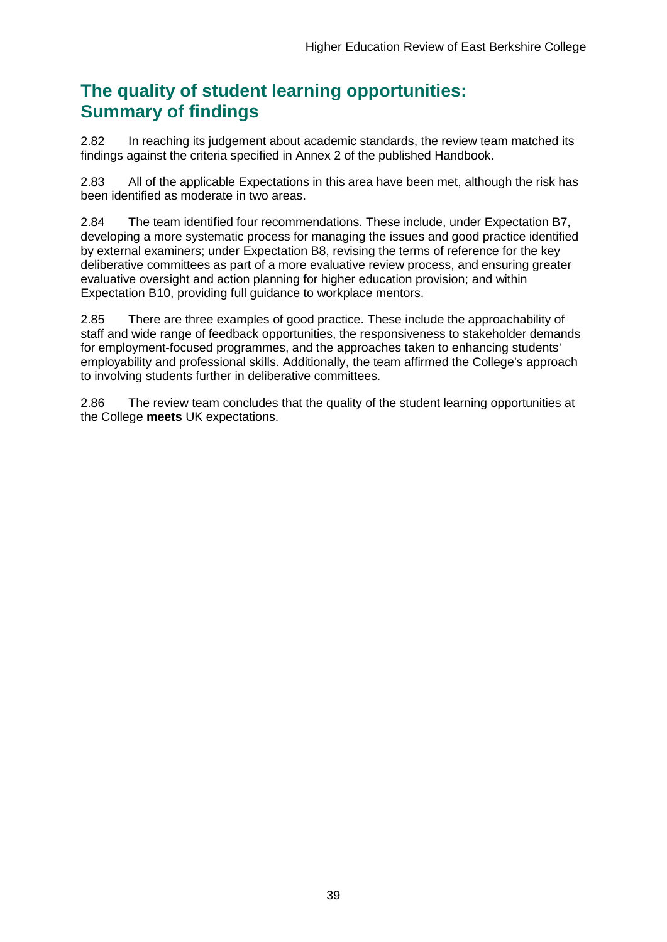## **The quality of student learning opportunities: Summary of findings**

2.82 In reaching its judgement about academic standards, the review team matched its findings against the criteria specified in Annex 2 of the published Handbook.

2.83 All of the applicable Expectations in this area have been met, although the risk has been identified as moderate in two areas.

2.84 The team identified four recommendations. These include, under Expectation B7, developing a more systematic process for managing the issues and good practice identified by external examiners; under Expectation B8, revising the terms of reference for the key deliberative committees as part of a more evaluative review process, and ensuring greater evaluative oversight and action planning for higher education provision; and within Expectation B10, providing full guidance to workplace mentors.

2.85 There are three examples of good practice. These include the approachability of staff and wide range of feedback opportunities, the responsiveness to stakeholder demands for employment-focused programmes, and the approaches taken to enhancing students' employability and professional skills. Additionally, the team affirmed the College's approach to involving students further in deliberative committees.

2.86 The review team concludes that the quality of the student learning opportunities at the College **meets** UK expectations.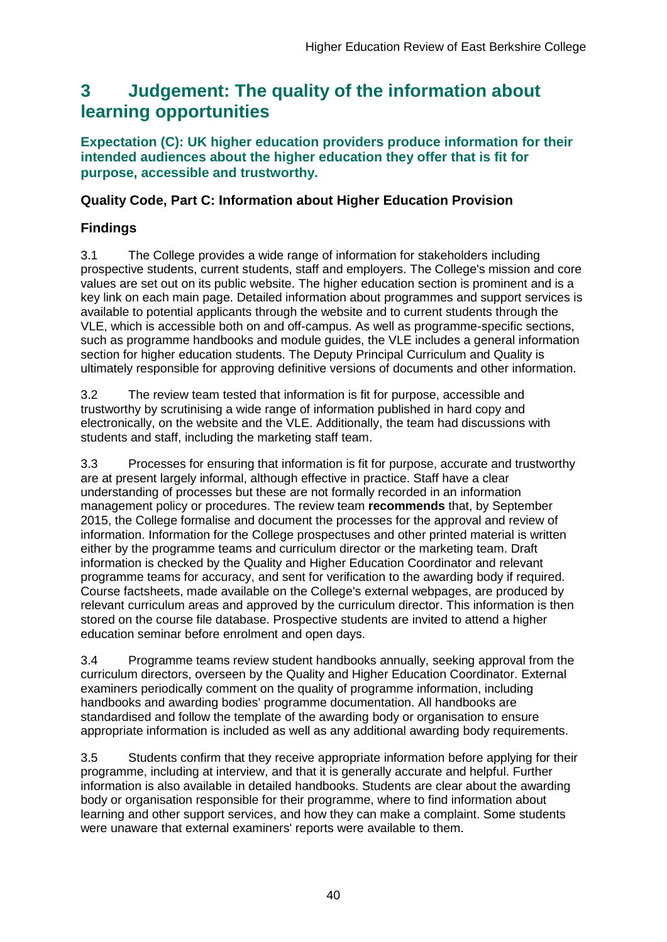## <span id="page-40-0"></span>**3 Judgement: The quality of the information about learning opportunities**

### **Expectation (C): UK higher education providers produce information for their intended audiences about the higher education they offer that is fit for purpose, accessible and trustworthy.**

### **Quality Code, Part C: Information about Higher Education Provision**

## **Findings**

3.1 The College provides a wide range of information for stakeholders including prospective students, current students, staff and employers. The College's mission and core values are set out on its public website. The higher education section is prominent and is a key link on each main page. Detailed information about programmes and support services is available to potential applicants through the website and to current students through the VLE, which is accessible both on and off-campus. As well as programme-specific sections, such as programme handbooks and module guides, the VLE includes a general information section for higher education students. The Deputy Principal Curriculum and Quality is ultimately responsible for approving definitive versions of documents and other information.

3.2 The review team tested that information is fit for purpose, accessible and trustworthy by scrutinising a wide range of information published in hard copy and electronically, on the website and the VLE. Additionally, the team had discussions with students and staff, including the marketing staff team.

3.3 Processes for ensuring that information is fit for purpose, accurate and trustworthy are at present largely informal, although effective in practice. Staff have a clear understanding of processes but these are not formally recorded in an information management policy or procedures. The review team **recommends** that, by September 2015, the College formalise and document the processes for the approval and review of information. Information for the College prospectuses and other printed material is written either by the programme teams and curriculum director or the marketing team. Draft information is checked by the Quality and Higher Education Coordinator and relevant programme teams for accuracy, and sent for verification to the awarding body if required. Course factsheets, made available on the College's external webpages, are produced by relevant curriculum areas and approved by the curriculum director. This information is then stored on the course file database. Prospective students are invited to attend a higher education seminar before enrolment and open days.

3.4 Programme teams review student handbooks annually, seeking approval from the curriculum directors, overseen by the Quality and Higher Education Coordinator. External examiners periodically comment on the quality of programme information, including handbooks and awarding bodies' programme documentation. All handbooks are standardised and follow the template of the awarding body or organisation to ensure appropriate information is included as well as any additional awarding body requirements.

3.5 Students confirm that they receive appropriate information before applying for their programme, including at interview, and that it is generally accurate and helpful. Further information is also available in detailed handbooks. Students are clear about the awarding body or organisation responsible for their programme, where to find information about learning and other support services, and how they can make a complaint. Some students were unaware that external examiners' reports were available to them.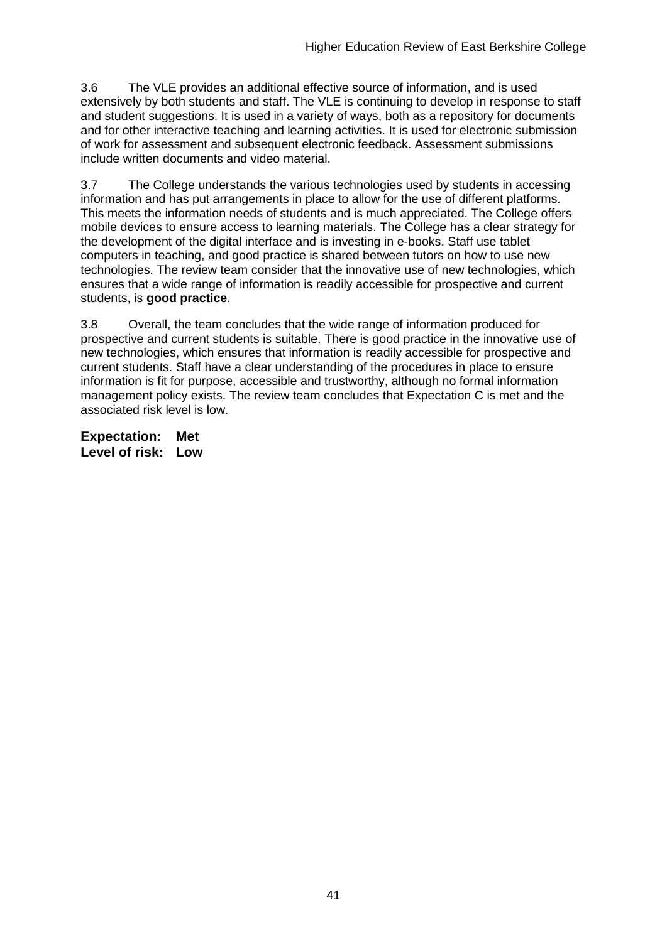3.6 The VLE provides an additional effective source of information, and is used extensively by both students and staff. The VLE is continuing to develop in response to staff and student suggestions. It is used in a variety of ways, both as a repository for documents and for other interactive teaching and learning activities. It is used for electronic submission of work for assessment and subsequent electronic feedback. Assessment submissions include written documents and video material.

3.7 The College understands the various technologies used by students in accessing information and has put arrangements in place to allow for the use of different platforms. This meets the information needs of students and is much appreciated. The College offers mobile devices to ensure access to learning materials. The College has a clear strategy for the development of the digital interface and is investing in e-books. Staff use tablet computers in teaching, and good practice is shared between tutors on how to use new technologies. The review team consider that the innovative use of new technologies, which ensures that a wide range of information is readily accessible for prospective and current students, is **good practice**.

3.8 Overall, the team concludes that the wide range of information produced for prospective and current students is suitable. There is good practice in the innovative use of new technologies, which ensures that information is readily accessible for prospective and current students. Staff have a clear understanding of the procedures in place to ensure information is fit for purpose, accessible and trustworthy, although no formal information management policy exists. The review team concludes that Expectation C is met and the associated risk level is low.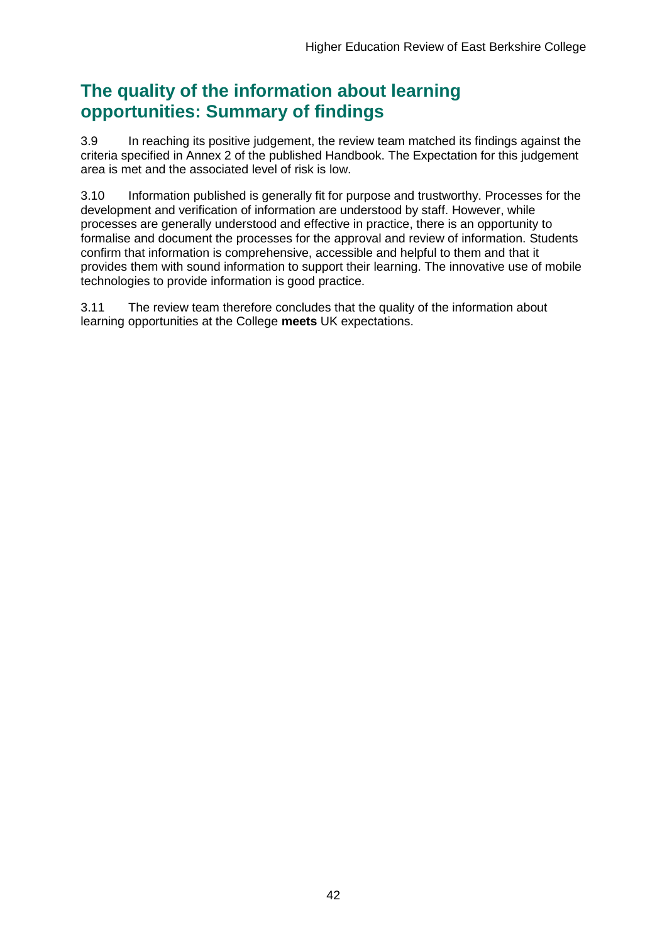## **The quality of the information about learning opportunities: Summary of findings**

3.9 In reaching its positive judgement, the review team matched its findings against the criteria specified in Annex 2 of the published Handbook. The Expectation for this judgement area is met and the associated level of risk is low.

3.10 Information published is generally fit for purpose and trustworthy. Processes for the development and verification of information are understood by staff. However, while processes are generally understood and effective in practice, there is an opportunity to formalise and document the processes for the approval and review of information. Students confirm that information is comprehensive, accessible and helpful to them and that it provides them with sound information to support their learning. The innovative use of mobile technologies to provide information is good practice.

3.11 The review team therefore concludes that the quality of the information about learning opportunities at the College **meets** UK expectations.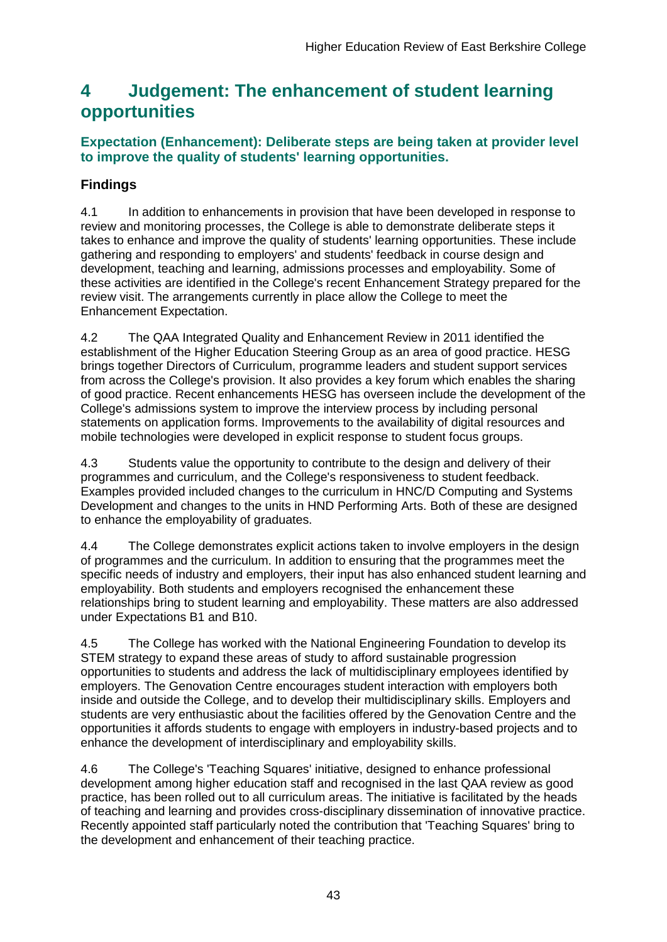## <span id="page-43-0"></span>**4 Judgement: The enhancement of student learning opportunities**

## **Expectation (Enhancement): Deliberate steps are being taken at provider level to improve the quality of students' learning opportunities.**

## **Findings**

4.1 In addition to enhancements in provision that have been developed in response to review and monitoring processes, the College is able to demonstrate deliberate steps it takes to enhance and improve the quality of students' learning opportunities. These include gathering and responding to employers' and students' feedback in course design and development, teaching and learning, admissions processes and employability. Some of these activities are identified in the College's recent Enhancement Strategy prepared for the review visit. The arrangements currently in place allow the College to meet the Enhancement Expectation.

4.2 The QAA Integrated Quality and Enhancement Review in 2011 identified the establishment of the Higher Education Steering Group as an area of good practice. HESG brings together Directors of Curriculum, programme leaders and student support services from across the College's provision. It also provides a key forum which enables the sharing of good practice. Recent enhancements HESG has overseen include the development of the College's admissions system to improve the interview process by including personal statements on application forms. Improvements to the availability of digital resources and mobile technologies were developed in explicit response to student focus groups.

4.3 Students value the opportunity to contribute to the design and delivery of their programmes and curriculum, and the College's responsiveness to student feedback. Examples provided included changes to the curriculum in HNC/D Computing and Systems Development and changes to the units in HND Performing Arts. Both of these are designed to enhance the employability of graduates.

4.4 The College demonstrates explicit actions taken to involve employers in the design of programmes and the curriculum. In addition to ensuring that the programmes meet the specific needs of industry and employers, their input has also enhanced student learning and employability. Both students and employers recognised the enhancement these relationships bring to student learning and employability. These matters are also addressed under Expectations B1 and B10.

4.5 The College has worked with the National Engineering Foundation to develop its STEM strategy to expand these areas of study to afford sustainable progression opportunities to students and address the lack of multidisciplinary employees identified by employers. The Genovation Centre encourages student interaction with employers both inside and outside the College, and to develop their multidisciplinary skills. Employers and students are very enthusiastic about the facilities offered by the Genovation Centre and the opportunities it affords students to engage with employers in industry-based projects and to enhance the development of interdisciplinary and employability skills.

4.6 The College's 'Teaching Squares' initiative, designed to enhance professional development among higher education staff and recognised in the last QAA review as good practice, has been rolled out to all curriculum areas. The initiative is facilitated by the heads of teaching and learning and provides cross-disciplinary dissemination of innovative practice. Recently appointed staff particularly noted the contribution that 'Teaching Squares' bring to the development and enhancement of their teaching practice.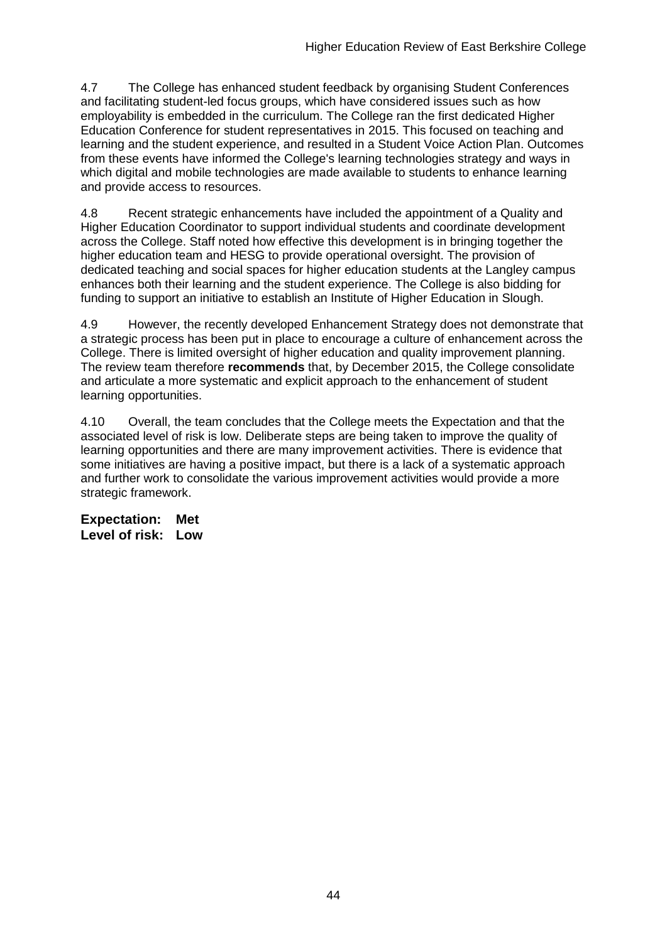4.7 The College has enhanced student feedback by organising Student Conferences and facilitating student-led focus groups, which have considered issues such as how employability is embedded in the curriculum. The College ran the first dedicated Higher Education Conference for student representatives in 2015. This focused on teaching and learning and the student experience, and resulted in a Student Voice Action Plan. Outcomes from these events have informed the College's learning technologies strategy and ways in which digital and mobile technologies are made available to students to enhance learning and provide access to resources.

4.8 Recent strategic enhancements have included the appointment of a Quality and Higher Education Coordinator to support individual students and coordinate development across the College. Staff noted how effective this development is in bringing together the higher education team and HESG to provide operational oversight. The provision of dedicated teaching and social spaces for higher education students at the Langley campus enhances both their learning and the student experience. The College is also bidding for funding to support an initiative to establish an Institute of Higher Education in Slough.

4.9 However, the recently developed Enhancement Strategy does not demonstrate that a strategic process has been put in place to encourage a culture of enhancement across the College. There is limited oversight of higher education and quality improvement planning. The review team therefore **recommends** that, by December 2015, the College consolidate and articulate a more systematic and explicit approach to the enhancement of student learning opportunities.

4.10 Overall, the team concludes that the College meets the Expectation and that the associated level of risk is low. Deliberate steps are being taken to improve the quality of learning opportunities and there are many improvement activities. There is evidence that some initiatives are having a positive impact, but there is a lack of a systematic approach and further work to consolidate the various improvement activities would provide a more strategic framework.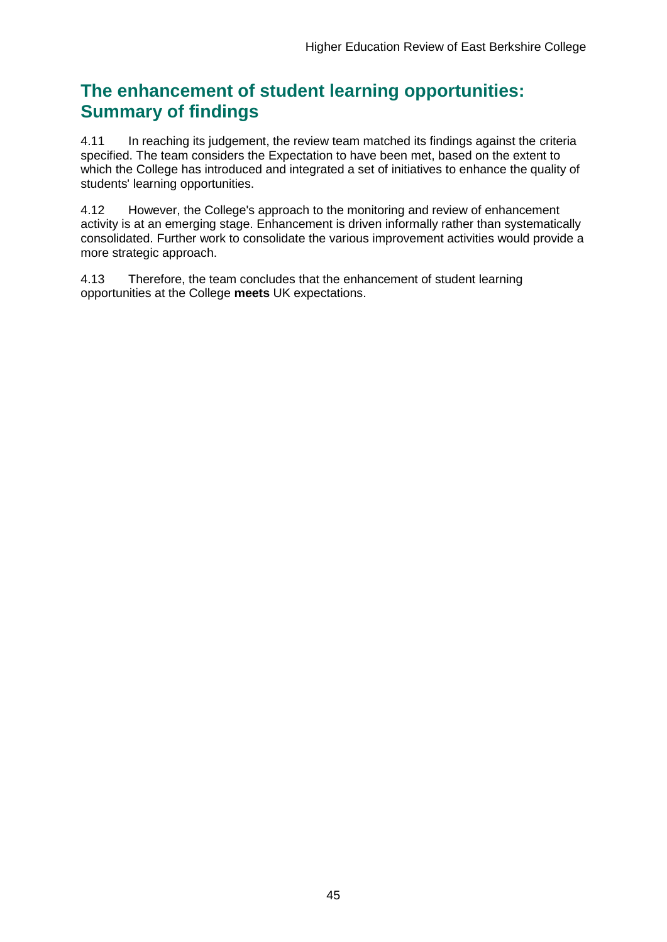## **The enhancement of student learning opportunities: Summary of findings**

4.11 In reaching its judgement, the review team matched its findings against the criteria specified. The team considers the Expectation to have been met, based on the extent to which the College has introduced and integrated a set of initiatives to enhance the quality of students' learning opportunities.

4.12 However, the College's approach to the monitoring and review of enhancement activity is at an emerging stage. Enhancement is driven informally rather than systematically consolidated. Further work to consolidate the various improvement activities would provide a more strategic approach.

4.13 Therefore, the team concludes that the enhancement of student learning opportunities at the College **meets** UK expectations.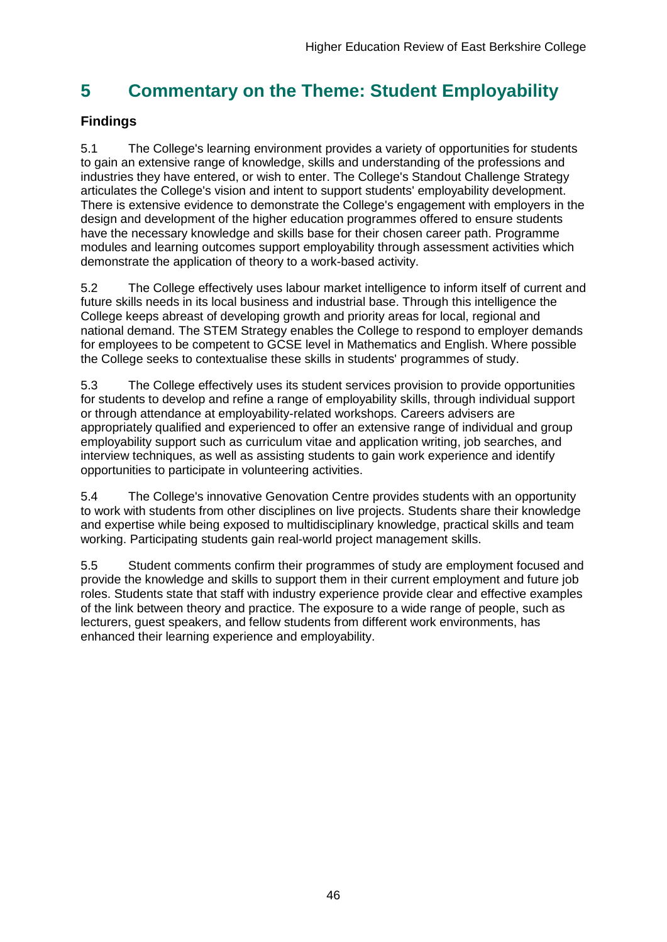## <span id="page-46-0"></span>**5 Commentary on the Theme: Student Employability**

## <span id="page-46-1"></span>**Findings**

5.1 The College's learning environment provides a variety of opportunities for students to gain an extensive range of knowledge, skills and understanding of the professions and industries they have entered, or wish to enter. The College's Standout Challenge Strategy articulates the College's vision and intent to support students' employability development. There is extensive evidence to demonstrate the College's engagement with employers in the design and development of the higher education programmes offered to ensure students have the necessary knowledge and skills base for their chosen career path. Programme modules and learning outcomes support employability through assessment activities which demonstrate the application of theory to a work-based activity.

5.2 The College effectively uses labour market intelligence to inform itself of current and future skills needs in its local business and industrial base. Through this intelligence the College keeps abreast of developing growth and priority areas for local, regional and national demand. The STEM Strategy enables the College to respond to employer demands for employees to be competent to GCSE level in Mathematics and English. Where possible the College seeks to contextualise these skills in students' programmes of study.

5.3 The College effectively uses its student services provision to provide opportunities for students to develop and refine a range of employability skills, through individual support or through attendance at employability-related workshops. Careers advisers are appropriately qualified and experienced to offer an extensive range of individual and group employability support such as curriculum vitae and application writing, job searches, and interview techniques, as well as assisting students to gain work experience and identify opportunities to participate in volunteering activities.

5.4 The College's innovative Genovation Centre provides students with an opportunity to work with students from other disciplines on live projects. Students share their knowledge and expertise while being exposed to multidisciplinary knowledge, practical skills and team working. Participating students gain real-world project management skills.

5.5 Student comments confirm their programmes of study are employment focused and provide the knowledge and skills to support them in their current employment and future job roles. Students state that staff with industry experience provide clear and effective examples of the link between theory and practice. The exposure to a wide range of people, such as lecturers, guest speakers, and fellow students from different work environments, has enhanced their learning experience and employability.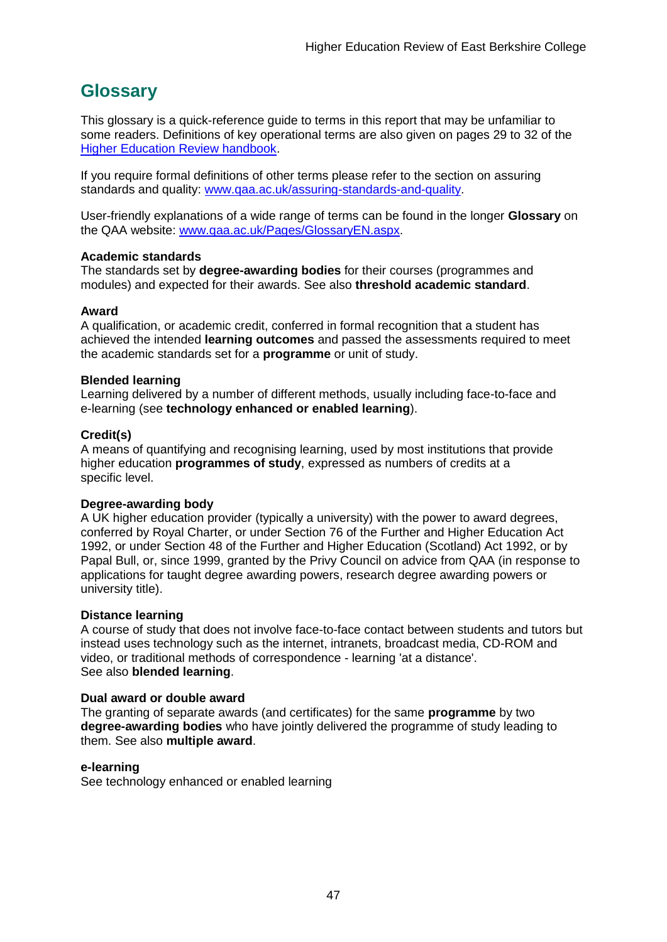## <span id="page-47-0"></span>**Glossary**

This glossary is a quick-reference guide to terms in this report that may be unfamiliar to some readers. Definitions of key operational terms are also given on pages 29 to 32 of the [Higher Education Review handbook.](http://www.qaa.ac.uk/publications/information-and-guidance/publication?PubID=2672)

If you require formal definitions of other terms please refer to the section on assuring standards and quality: [www.qaa.ac.uk/assuring-standards-and-quality.](http://www.qaa.ac.uk/assuring-standards-and-quality)

User-friendly explanations of a wide range of terms can be found in the longer **Glossary** on the QAA website: [www.qaa.ac.uk/Pages/GlossaryEN.aspx.](http://www.qaa.ac.uk/Pages/GlossaryEN.aspx)

### **Academic standards**

The standards set by **degree-awarding bodies** for their courses (programmes and modules) and expected for their awards. See also **threshold academic standard**.

### **Award**

A qualification, or academic credit, conferred in formal recognition that a student has achieved the intended **learning outcomes** and passed the assessments required to meet the academic standards set for a **programme** or unit of study.

### **Blended learning**

Learning delivered by a number of different methods, usually including face-to-face and e-learning (see **[technology enhanced or enabled learning](http://www.qaa.ac.uk/AboutUs/glossary/Pages/glossary-t.aspx#t1)**).

### **Credit(s)**

A means of quantifying and recognising learning, used by most institutions that provide higher education **programmes of study**, expressed as numbers of credits at a specific level.

### **Degree-awarding body**

A UK [higher education provider](http://newlive.qaa.ac.uk/AboutUs/glossary/Pages/glossary-h.aspx#h2.1) (typically a [university\)](http://newlive.qaa.ac.uk/AboutUs/glossary/Pages/glossary-u-z.aspx#u4) with the power to award degrees, conferred by Royal Charter, or under Section 76 of the Further and Higher Education Act 1992, or under Section 48 of the Further and Higher Education (Scotland) Act 1992, or by Papal Bull, or, since 1999, granted by the Privy Council on advice from QAA (in response to applications for [taught degree awarding powers, research degree awarding powers or](http://newlive.qaa.ac.uk/AboutUs/DAP/Pages/default.aspx)  [university title\)](http://newlive.qaa.ac.uk/AboutUs/DAP/Pages/default.aspx).

### **Distance learning**

A course of study that does not involve face-to-face contact between students and tutors but instead uses technology such as the internet, intranets, broadcast media, CD-ROM and video, or traditional methods of correspondence - learning 'at a distance'. See also **blended learning**.

### **Dual award or double award**

The granting of separate awards (and certificates) for the same **programme** by two **degree-awarding bodies** who have jointly delivered the programme of study leading to them. See also **multiple award**.

### **e-learning**

See technology enhanced or enabled learning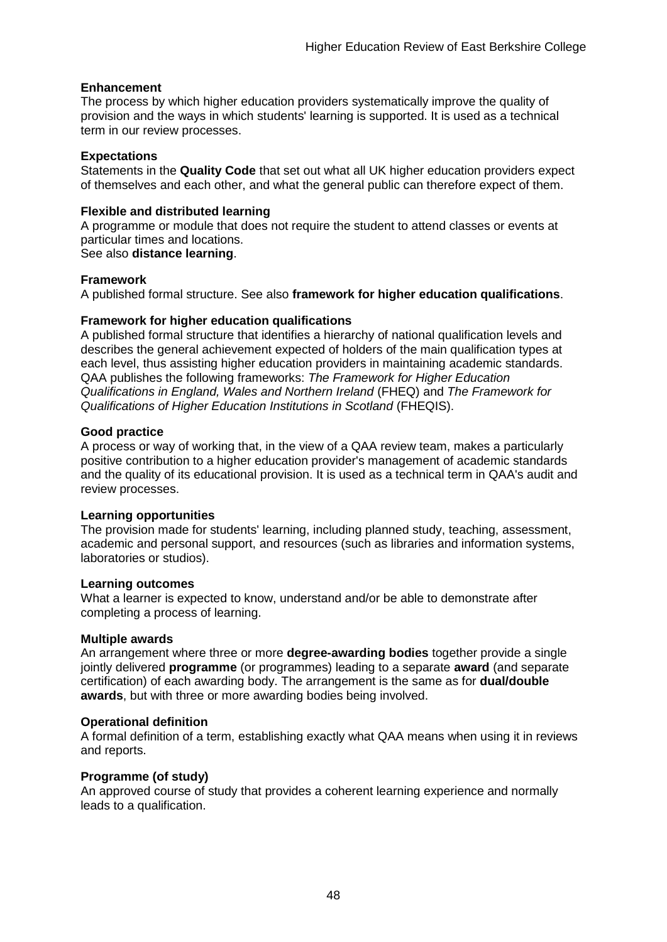### **Enhancement**

The process by which [higher education providers](http://www.qaa.ac.uk/AboutUs/glossary/Pages/glossary-h.aspx#h2.1) systematically improve the quality of provision and the ways in which students' learning is supported. It is used as a technical term in our review processes.

#### **Expectations**

Statements in the **Quality Code** that set out what all UK [higher education providers](http://newlive.qaa.ac.uk/AboutUs/glossary/Pages/glossary-h.aspx#h2.1) expect of themselves and each other, and what the general public can therefore expect of them.

### **Flexible and distributed learning**

A [programme](http://newlive.qaa.ac.uk/AboutUs/glossary/Pages/glossary-p.aspx#p12) or [module](http://newlive.qaa.ac.uk/AboutUs/glossary/Pages/glossary-m-o.aspx#m6) that does not require the student to attend classes or events at particular times and locations.

### See also **distance learning**.

### **Framework**

A published formal structure. See also **framework for higher education qualifications**.

### **Framework for higher education qualifications**

A published formal structure that identifies a hierarchy of national qualification levels and describes the general achievement expected of holders of the main qualification types at each level, thus assisting higher education providers in maintaining academic standards. QAA publishes the following frameworks: *The Framework for Higher Education Qualifications in England, Wales and Northern Ireland* (FHEQ) and *The Framework for Qualifications of Higher Education Institutions in Scotland* (FHEQIS).

#### **Good practice**

A process or way of working that, in the view of a QAA review team, makes a particularly positive contribution to a higher education provider's management of academic standards and the quality of its educational provision. It is used as a technical term in QAA's audit and review processes.

### **Learning opportunities**

The provision made for students' learning, including planned study, teaching, assessment, academic and personal support, and resources (such as libraries and information systems, laboratories or studios).

#### **Learning outcomes**

What a learner is expected to know, understand and/or be able to demonstrate after completing a process of learning.

### **Multiple awards**

An arrangement where three or more **degree-awarding bodies** together provide a single jointly delivered **programme** (or programmes) leading to a separate **award** (and separate certification) of each awarding body. The arrangement is the same as for **dual/double awards**, but with three or more awarding bodies being involved.

### **Operational definition**

A formal definition of a term, establishing exactly what QAA means when using it in reviews and reports.

### **Programme (of study)**

An approved course of study that provides a coherent learning experience and normally leads to a qualification.